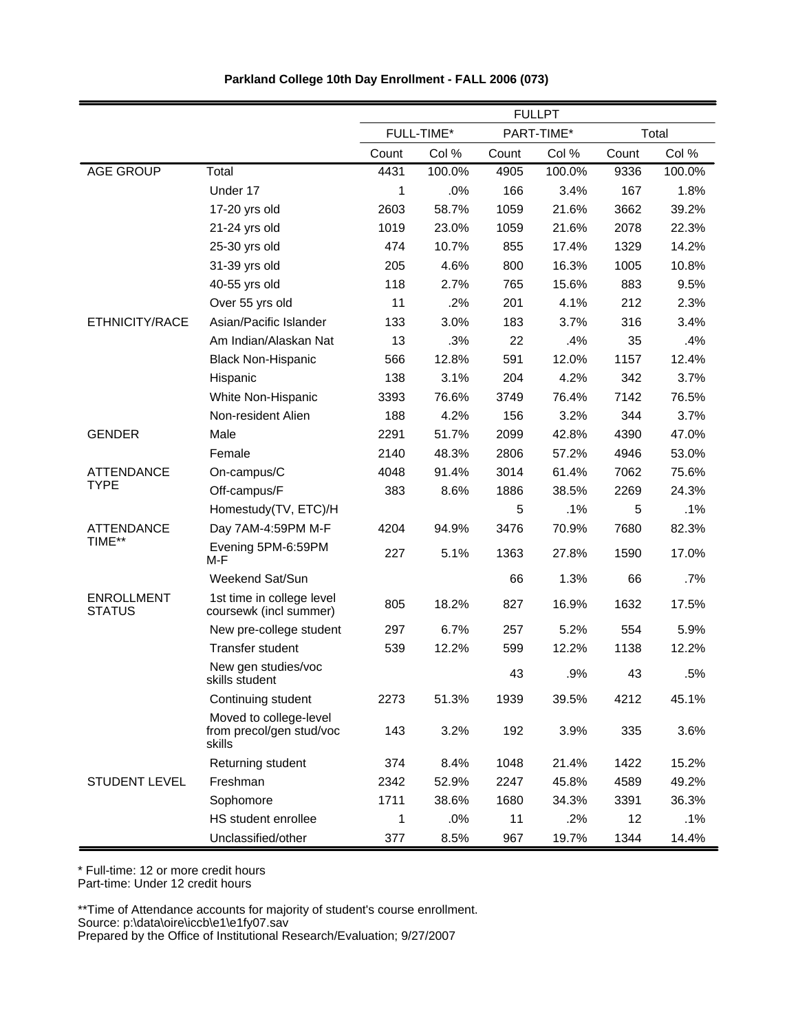|                                    |                                                              | <b>FULLPT</b> |            |       |            |       |        |
|------------------------------------|--------------------------------------------------------------|---------------|------------|-------|------------|-------|--------|
|                                    |                                                              |               | FULL-TIME* |       | PART-TIME* |       | Total  |
|                                    |                                                              | Count         | Col %      | Count | Col %      | Count | Col %  |
| <b>AGE GROUP</b>                   | Total                                                        | 4431          | 100.0%     | 4905  | 100.0%     | 9336  | 100.0% |
|                                    | Under 17                                                     | 1             | .0%        | 166   | 3.4%       | 167   | 1.8%   |
|                                    | 17-20 yrs old                                                | 2603          | 58.7%      | 1059  | 21.6%      | 3662  | 39.2%  |
|                                    | 21-24 yrs old                                                | 1019          | 23.0%      | 1059  | 21.6%      | 2078  | 22.3%  |
|                                    | 25-30 yrs old                                                | 474           | 10.7%      | 855   | 17.4%      | 1329  | 14.2%  |
|                                    | 31-39 yrs old                                                | 205           | 4.6%       | 800   | 16.3%      | 1005  | 10.8%  |
|                                    | 40-55 yrs old                                                | 118           | 2.7%       | 765   | 15.6%      | 883   | 9.5%   |
|                                    | Over 55 yrs old                                              | 11            | .2%        | 201   | 4.1%       | 212   | 2.3%   |
| ETHNICITY/RACE                     | Asian/Pacific Islander                                       | 133           | 3.0%       | 183   | 3.7%       | 316   | 3.4%   |
|                                    | Am Indian/Alaskan Nat                                        | 13            | .3%        | 22    | .4%        | 35    | .4%    |
|                                    | <b>Black Non-Hispanic</b>                                    | 566           | 12.8%      | 591   | 12.0%      | 1157  | 12.4%  |
|                                    | Hispanic                                                     | 138           | 3.1%       | 204   | 4.2%       | 342   | 3.7%   |
|                                    | White Non-Hispanic                                           | 3393          | 76.6%      | 3749  | 76.4%      | 7142  | 76.5%  |
|                                    | Non-resident Alien                                           | 188           | 4.2%       | 156   | 3.2%       | 344   | 3.7%   |
| <b>GENDER</b>                      | Male                                                         | 2291          | 51.7%      | 2099  | 42.8%      | 4390  | 47.0%  |
|                                    | Female                                                       | 2140          | 48.3%      | 2806  | 57.2%      | 4946  | 53.0%  |
| <b>ATTENDANCE</b>                  | On-campus/C                                                  | 4048          | 91.4%      | 3014  | 61.4%      | 7062  | 75.6%  |
| <b>TYPE</b>                        | Off-campus/F                                                 | 383           | 8.6%       | 1886  | 38.5%      | 2269  | 24.3%  |
|                                    | Homestudy(TV, ETC)/H                                         |               |            | 5     | .1%        | 5     | .1%    |
| <b>ATTENDANCE</b>                  | Day 7AM-4:59PM M-F                                           | 4204          | 94.9%      | 3476  | 70.9%      | 7680  | 82.3%  |
| TIME**                             | Evening 5PM-6:59PM<br>M-F                                    | 227           | 5.1%       | 1363  | 27.8%      | 1590  | 17.0%  |
|                                    | Weekend Sat/Sun                                              |               |            | 66    | 1.3%       | 66    | .7%    |
| <b>ENROLLMENT</b><br><b>STATUS</b> | 1st time in college level<br>coursewk (incl summer)          | 805           | 18.2%      | 827   | 16.9%      | 1632  | 17.5%  |
|                                    | New pre-college student                                      | 297           | 6.7%       | 257   | 5.2%       | 554   | 5.9%   |
|                                    | Transfer student                                             | 539           | 12.2%      | 599   | 12.2%      | 1138  | 12.2%  |
|                                    | New gen studies/voc<br>skills student                        |               |            | 43    | .9%        | 43    | .5%    |
|                                    | Continuing student                                           | 2273          | 51.3%      | 1939  | 39.5%      | 4212  | 45.1%  |
|                                    | Moved to college-level<br>from precol/gen stud/voc<br>skills | 143           | 3.2%       | 192   | 3.9%       | 335   | 3.6%   |
|                                    | Returning student                                            | 374           | 8.4%       | 1048  | 21.4%      | 1422  | 15.2%  |
| <b>STUDENT LEVEL</b>               | Freshman                                                     | 2342          | 52.9%      | 2247  | 45.8%      | 4589  | 49.2%  |
|                                    | Sophomore                                                    | 1711          | 38.6%      | 1680  | 34.3%      | 3391  | 36.3%  |
|                                    | HS student enrollee                                          | 1             | .0%        | 11    | .2%        | 12    | .1%    |
|                                    | Unclassified/other                                           | 377           | 8.5%       | 967   | 19.7%      | 1344  | 14.4%  |

**Parkland College 10th Day Enrollment - FALL 2006 (073)**

\* Full-time: 12 or more credit hours

Part-time: Under 12 credit hours

\*\*Time of Attendance accounts for majority of student's course enrollment.

Source: p:\data\oire\iccb\e1\e1fy07.sav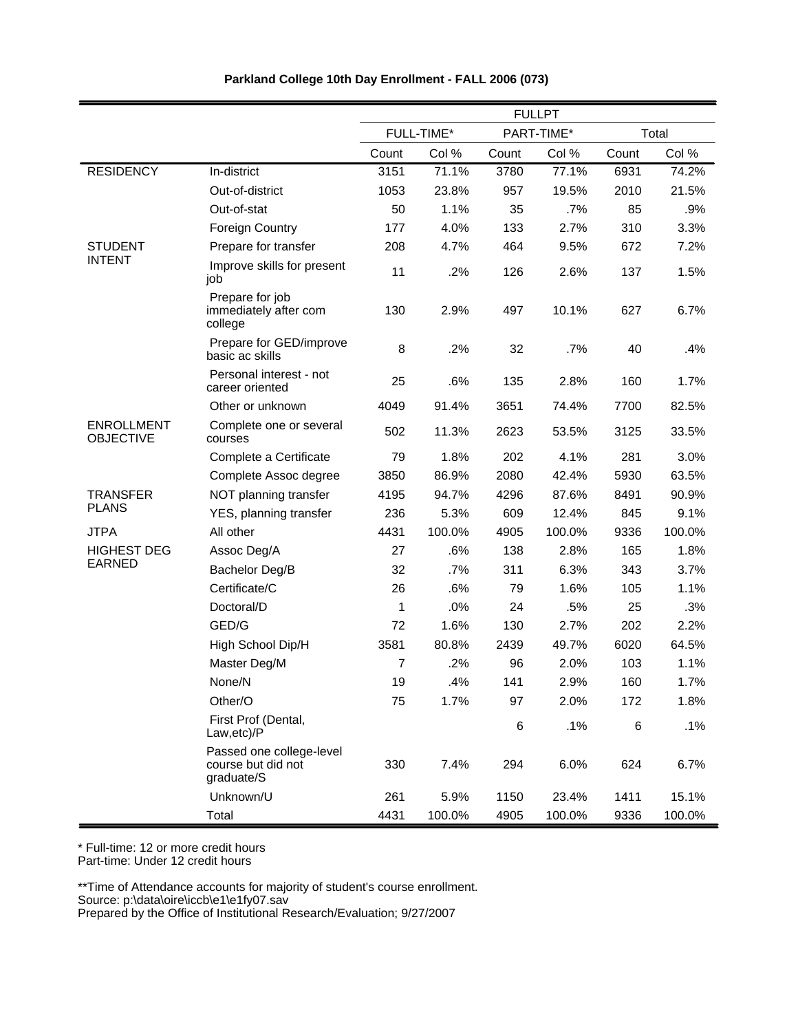|                                       |                                                              |       |            |       | <b>FULLPT</b> |       |        |
|---------------------------------------|--------------------------------------------------------------|-------|------------|-------|---------------|-------|--------|
|                                       |                                                              |       | FULL-TIME* |       | PART-TIME*    |       | Total  |
|                                       |                                                              | Count | Col %      | Count | Col %         | Count | Col %  |
| <b>RESIDENCY</b>                      | In-district                                                  | 3151  | 71.1%      | 3780  | 77.1%         | 6931  | 74.2%  |
|                                       | Out-of-district                                              | 1053  | 23.8%      | 957   | 19.5%         | 2010  | 21.5%  |
|                                       | Out-of-stat                                                  | 50    | 1.1%       | 35    | .7%           | 85    | .9%    |
|                                       | <b>Foreign Country</b>                                       | 177   | 4.0%       | 133   | 2.7%          | 310   | 3.3%   |
| <b>STUDENT</b>                        | Prepare for transfer                                         | 208   | 4.7%       | 464   | 9.5%          | 672   | 7.2%   |
| <b>INTENT</b>                         | Improve skills for present<br>job                            | 11    | .2%        | 126   | 2.6%          | 137   | 1.5%   |
|                                       | Prepare for job<br>immediately after com<br>college          | 130   | 2.9%       | 497   | 10.1%         | 627   | 6.7%   |
|                                       | Prepare for GED/improve<br>basic ac skills                   | 8     | .2%        | 32    | .7%           | 40    | .4%    |
|                                       | Personal interest - not<br>career oriented                   | 25    | .6%        | 135   | 2.8%          | 160   | 1.7%   |
|                                       | Other or unknown                                             | 4049  | 91.4%      | 3651  | 74.4%         | 7700  | 82.5%  |
| <b>ENROLLMENT</b><br><b>OBJECTIVE</b> | Complete one or several<br>courses                           | 502   | 11.3%      | 2623  | 53.5%         | 3125  | 33.5%  |
|                                       | Complete a Certificate                                       | 79    | 1.8%       | 202   | 4.1%          | 281   | 3.0%   |
|                                       | Complete Assoc degree                                        | 3850  | 86.9%      | 2080  | 42.4%         | 5930  | 63.5%  |
| <b>TRANSFER</b>                       | NOT planning transfer                                        | 4195  | 94.7%      | 4296  | 87.6%         | 8491  | 90.9%  |
| <b>PLANS</b>                          | YES, planning transfer                                       | 236   | 5.3%       | 609   | 12.4%         | 845   | 9.1%   |
| <b>JTPA</b>                           | All other                                                    | 4431  | 100.0%     | 4905  | 100.0%        | 9336  | 100.0% |
| <b>HIGHEST DEG</b>                    | Assoc Deg/A                                                  | 27    | .6%        | 138   | 2.8%          | 165   | 1.8%   |
| <b>EARNED</b>                         | Bachelor Deg/B                                               | 32    | .7%        | 311   | 6.3%          | 343   | 3.7%   |
|                                       | Certificate/C                                                | 26    | .6%        | 79    | 1.6%          | 105   | 1.1%   |
|                                       | Doctoral/D                                                   | 1     | .0%        | 24    | .5%           | 25    | .3%    |
|                                       | GED/G                                                        | 72    | 1.6%       | 130   | 2.7%          | 202   | 2.2%   |
|                                       | High School Dip/H                                            | 3581  | 80.8%      | 2439  | 49.7%         | 6020  | 64.5%  |
|                                       | Master Deg/M                                                 | 7     | .2%        | 96    | 2.0%          | 103   | 1.1%   |
|                                       | None/N                                                       | 19    | .4%        | 141   | 2.9%          | 160   | 1.7%   |
|                                       | Other/O                                                      | 75    | 1.7%       | 97    | 2.0%          | 172   | 1.8%   |
|                                       | First Prof (Dental,<br>Law,etc)/P                            |       |            | $\,6$ | .1%           | $\,6$ | .1%    |
|                                       | Passed one college-level<br>course but did not<br>graduate/S | 330   | 7.4%       | 294   | 6.0%          | 624   | 6.7%   |
|                                       | Unknown/U                                                    | 261   | 5.9%       | 1150  | 23.4%         | 1411  | 15.1%  |
|                                       | Total                                                        | 4431  | 100.0%     | 4905  | 100.0%        | 9336  | 100.0% |

\* Full-time: 12 or more credit hours

Part-time: Under 12 credit hours

\*\*Time of Attendance accounts for majority of student's course enrollment.

Source: p:\data\oire\iccb\e1\e1fy07.sav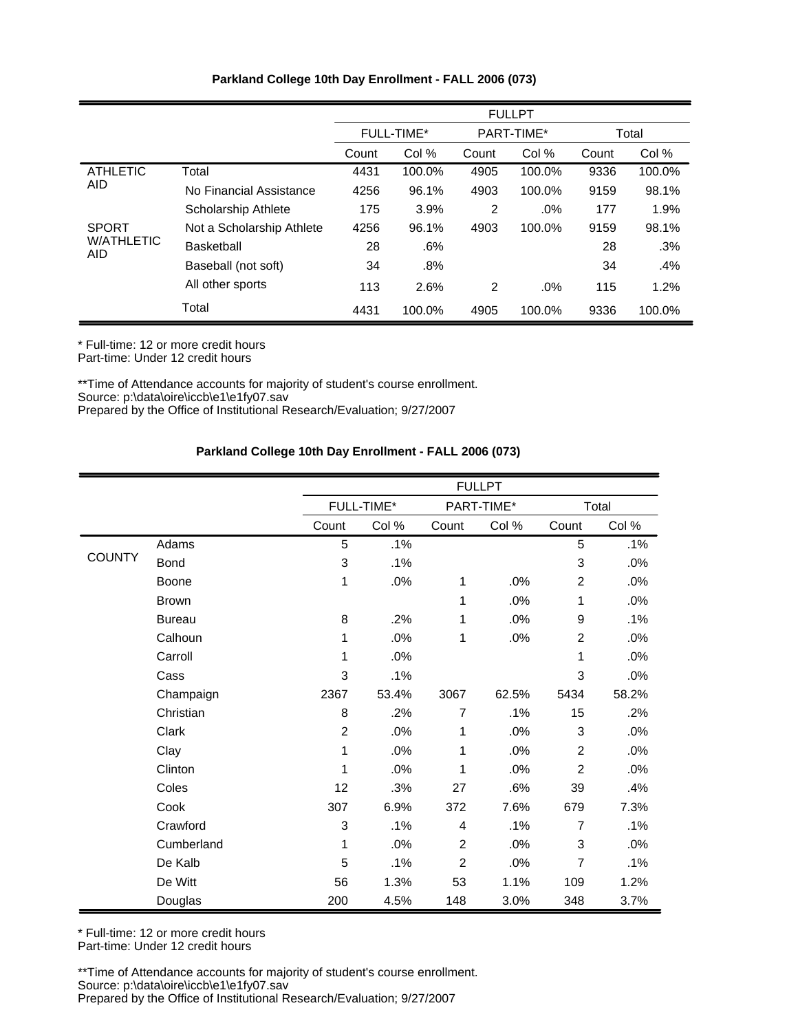|                                 |                            | <b>FULLPT</b>     |        |            |        |       |        |
|---------------------------------|----------------------------|-------------------|--------|------------|--------|-------|--------|
|                                 |                            | <b>FULL-TIME*</b> |        | PART-TIME* |        |       | Total  |
|                                 |                            | Count             | Col %  | Count      | Col %  | Count | Col %  |
| <b>ATHLETIC</b>                 | Total                      | 4431              | 100.0% | 4905       | 100.0% | 9336  | 100.0% |
| <b>AID</b>                      | No Financial Assistance    | 4256              | 96.1%  | 4903       | 100.0% | 9159  | 98.1%  |
|                                 | <b>Scholarship Athlete</b> | 175               | 3.9%   | 2          | $.0\%$ | 177   | 1.9%   |
| <b>SPORT</b>                    | Not a Scholarship Athlete  | 4256              | 96.1%  | 4903       | 100.0% | 9159  | 98.1%  |
| <b>W/ATHLETIC</b><br><b>AID</b> | <b>Basketball</b>          | 28                | .6%    |            |        | 28    | .3%    |
|                                 | Baseball (not soft)        | 34                | .8%    |            |        | 34    | .4%    |
|                                 | All other sports           | 113               | 2.6%   | 2          | .0%    | 115   | 1.2%   |
|                                 | Total                      | 4431              | 100.0% | 4905       | 100.0% | 9336  | 100.0% |

\*\*Time of Attendance accounts for majority of student's course enrollment. Source: p:\data\oire\iccb\e1\e1fy07.sav Prepared by the Office of Institutional Research/Evaluation; 9/27/2007

# **Parkland College 10th Day Enrollment - FALL 2006 (073)**

|               |               |                |                   |                | <b>FULLPT</b> |                |        |
|---------------|---------------|----------------|-------------------|----------------|---------------|----------------|--------|
|               |               |                | <b>FULL-TIME*</b> |                | PART-TIME*    |                | Total  |
|               |               | Count          | Col %             | Count          | Col %         | Count          | Col %  |
|               | Adams         | 5              | .1%               |                |               | 5              | .1%    |
| <b>COUNTY</b> | <b>Bond</b>   | $\mathbf{3}$   | .1%               |                |               | 3              | .0%    |
|               | Boone         | 1              | .0%               | 1              | .0%           | $\overline{2}$ | .0%    |
|               | <b>Brown</b>  |                |                   | 1              | .0%           | 1              | .0%    |
|               | <b>Bureau</b> | 8              | .2%               | 1              | .0%           | 9              | .1%    |
|               | Calhoun       | 1              | .0%               | 1              | .0%           | $\overline{2}$ | .0%    |
|               | Carroll       | 1              | .0%               |                |               | 1              | .0%    |
|               | Cass          | 3              | .1%               |                |               | 3              | .0%    |
|               | Champaign     | 2367           | 53.4%             | 3067           | 62.5%         | 5434           | 58.2%  |
|               | Christian     | 8              | .2%               | 7              | .1%           | 15             | .2%    |
|               | Clark         | $\overline{2}$ | .0%               | 1              | .0%           | 3              | $.0\%$ |
|               | Clay          | 1              | .0%               | 1              | .0%           | $\overline{2}$ | .0%    |
|               | Clinton       | 1              | .0%               | 1              | .0%           | $\overline{2}$ | .0%    |
|               | Coles         | 12             | .3%               | 27             | .6%           | 39             | .4%    |
|               | Cook          | 307            | 6.9%              | 372            | 7.6%          | 679            | 7.3%   |
|               | Crawford      | 3              | .1%               | 4              | .1%           | $\overline{7}$ | .1%    |
|               | Cumberland    | 1              | .0%               | $\overline{2}$ | .0%           | 3              | .0%    |
|               | De Kalb       | 5              | .1%               | $\overline{2}$ | .0%           | $\overline{7}$ | .1%    |
|               | De Witt       | 56             | 1.3%              | 53             | 1.1%          | 109            | 1.2%   |
|               | Douglas       | 200            | 4.5%              | 148            | 3.0%          | 348            | 3.7%   |

\* Full-time: 12 or more credit hours

Part-time: Under 12 credit hours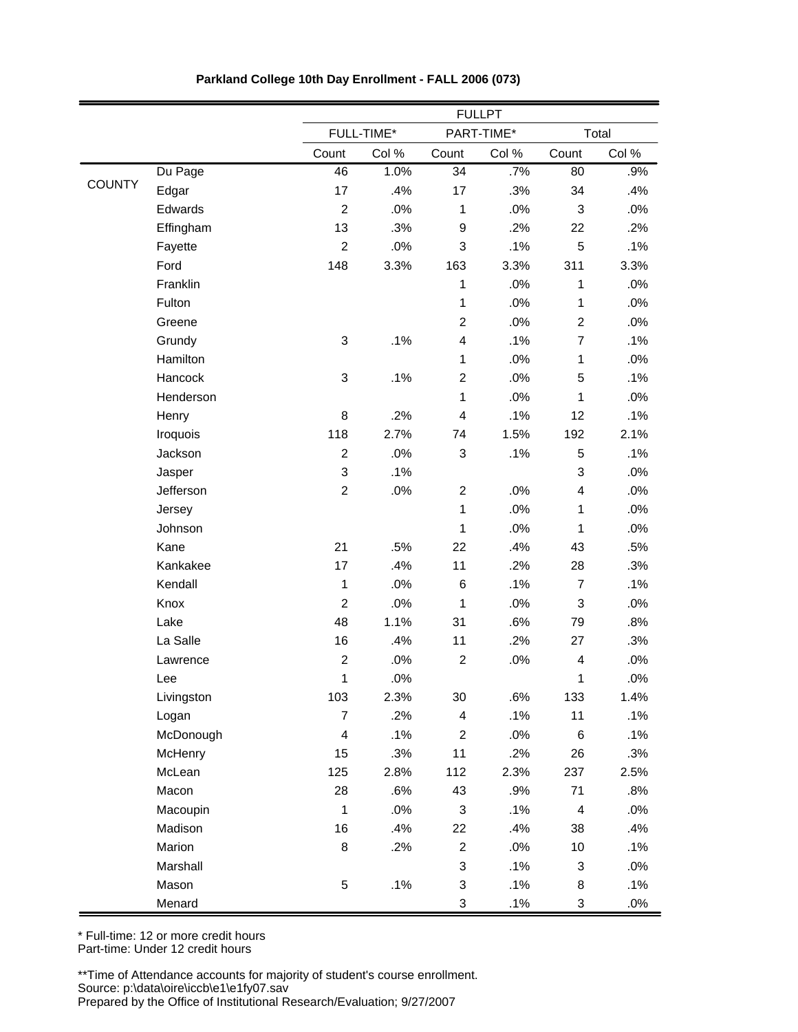|               |                |                         | <b>FULLPT</b> |                  |            |                           |       |
|---------------|----------------|-------------------------|---------------|------------------|------------|---------------------------|-------|
|               |                |                         | FULL-TIME*    |                  | PART-TIME* |                           | Total |
|               |                | Count                   | Col %         | Count            | Col %      | Count                     | Col % |
|               | Du Page        | 46                      | 1.0%          | 34               | .7%        | 80                        | .9%   |
| <b>COUNTY</b> | Edgar          | 17                      | .4%           | 17               | .3%        | 34                        | .4%   |
|               | Edwards        | $\overline{c}$          | .0%           | $\mathbf 1$      | .0%        | 3                         | .0%   |
|               | Effingham      | 13                      | .3%           | $\boldsymbol{9}$ | .2%        | 22                        | .2%   |
|               | Fayette        | $\overline{c}$          | .0%           | 3                | .1%        | 5                         | .1%   |
|               | Ford           | 148                     | 3.3%          | 163              | 3.3%       | 311                       | 3.3%  |
|               | Franklin       |                         |               | $\mathbf{1}$     | .0%        | $\mathbf{1}$              | .0%   |
|               | Fulton         |                         |               | $\mathbf 1$      | .0%        | $\mathbf 1$               | .0%   |
|               | Greene         |                         |               | $\overline{2}$   | .0%        | $\overline{2}$            | .0%   |
|               | Grundy         | 3                       | .1%           | 4                | .1%        | $\overline{7}$            | .1%   |
|               | Hamilton       |                         |               | $\mathbf{1}$     | .0%        | $\mathbf{1}$              | .0%   |
|               | Hancock        | 3                       | .1%           | $\overline{2}$   | .0%        | 5                         | .1%   |
|               | Henderson      |                         |               | $\mathbf{1}$     | .0%        | $\mathbf{1}$              | .0%   |
|               | Henry          | 8                       | .2%           | 4                | .1%        | 12                        | .1%   |
|               | Iroquois       | 118                     | 2.7%          | 74               | 1.5%       | 192                       | 2.1%  |
|               | Jackson        | $\mathbf 2$             | .0%           | 3                | .1%        | 5                         | .1%   |
|               | Jasper         | 3                       | .1%           |                  |            | $\ensuremath{\mathsf{3}}$ | .0%   |
|               | Jefferson      | $\mathbf 2$             | .0%           | $\overline{2}$   | .0%        | $\overline{4}$            | .0%   |
|               | Jersey         |                         |               | $\mathbf{1}$     | .0%        | $\mathbf{1}$              | .0%   |
|               | Johnson        |                         |               | $\mathbf{1}$     | .0%        | $\mathbf{1}$              | .0%   |
|               | Kane           | 21                      | .5%           | 22               | .4%        | 43                        | .5%   |
|               | Kankakee       | 17                      | .4%           | 11               | .2%        | 28                        | .3%   |
|               | Kendall        | 1                       | .0%           | 6                | .1%        | $\overline{7}$            | .1%   |
|               | Knox           | $\overline{c}$          | .0%           | $\mathbf{1}$     | .0%        | $\ensuremath{\mathsf{3}}$ | .0%   |
|               | Lake           | 48                      | 1.1%          | 31               | .6%        | 79                        | .8%   |
|               | La Salle       | 16                      | .4%           | 11               | .2%        | 27                        | .3%   |
|               | Lawrence       | $\mathbf 2$             | .0%           | $\overline{c}$   | .0%        | $\overline{\mathbf{4}}$   | .0%   |
|               | Lee            | $\mathbf 1$             | .0%           |                  |            | $\mathbf{1}$              | .0%   |
|               | Livingston     | 103                     | 2.3%          | 30               | .6%        | 133                       | 1.4%  |
|               | Logan          | $\overline{7}$          | .2%           | $\overline{4}$   | .1%        | 11                        | .1%   |
|               | McDonough      | $\overline{\mathbf{4}}$ | .1%           | $\overline{2}$   | .0%        | 6                         | .1%   |
|               | <b>McHenry</b> | 15                      | .3%           | 11               | .2%        | 26                        | .3%   |
|               | McLean         | 125                     | 2.8%          | 112              | 2.3%       | 237                       | 2.5%  |
|               | Macon          | 28                      | .6%           | 43               | .9%        | 71                        | .8%   |
|               | Macoupin       | $\mathbf{1}$            | .0%           | 3                | .1%        | $\overline{4}$            | .0%   |
|               | Madison        | 16                      | .4%           | 22               | .4%        | 38                        | .4%   |
|               | Marion         | 8                       | .2%           | $\overline{a}$   | .0%        | $10$                      | .1%   |
|               | Marshall       |                         |               | 3                | .1%        | 3                         | .0%   |
|               | Mason          | 5                       | .1%           | 3                | .1%        | 8                         | .1%   |
|               | Menard         |                         |               | 3                | .1%        | 3                         | .0%   |

**Parkland College 10th Day Enrollment - FALL 2006 (073)**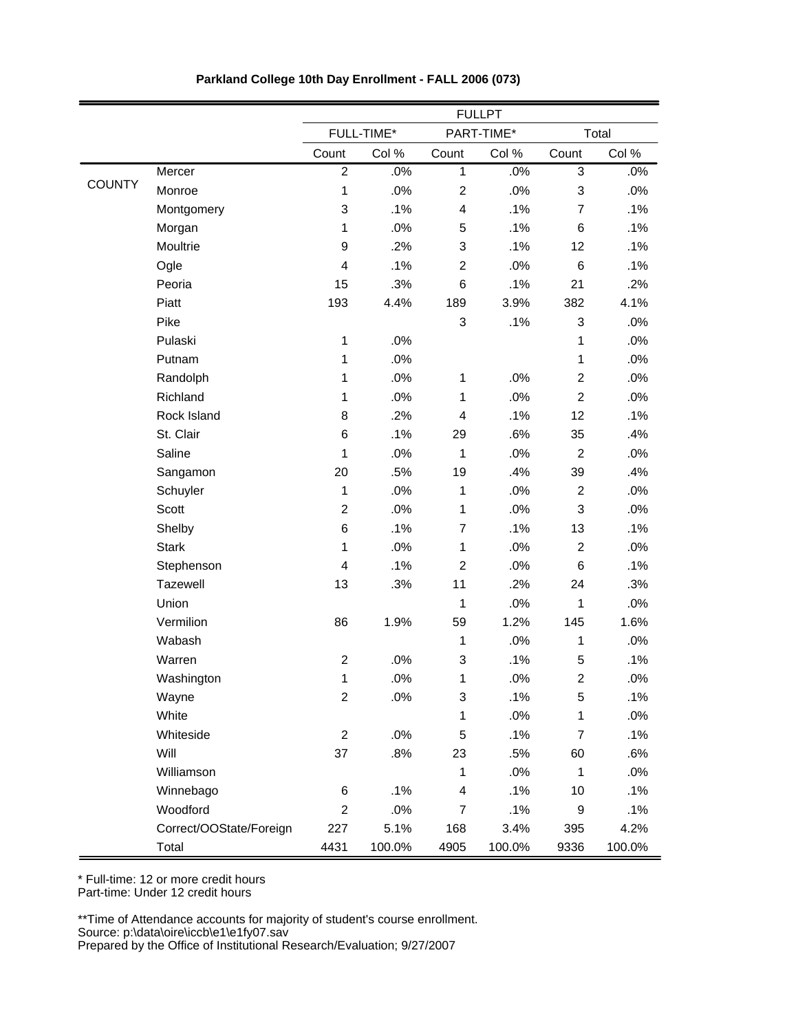|               |                         | <b>FULLPT</b>           |            |                         |            |                           |        |
|---------------|-------------------------|-------------------------|------------|-------------------------|------------|---------------------------|--------|
|               |                         |                         | FULL-TIME* |                         | PART-TIME* |                           | Total  |
|               |                         | Count                   | Col %      | Count                   | Col %      | Count                     | Col %  |
|               | Mercer                  | $\overline{2}$          | .0%        | $\mathbf{1}$            | .0%        | 3                         | $.0\%$ |
| <b>COUNTY</b> | Monroe                  | 1                       | .0%        | $\overline{2}$          | .0%        | $\ensuremath{\mathsf{3}}$ | $.0\%$ |
|               | Montgomery              | 3                       | .1%        | 4                       | .1%        | $\overline{7}$            | .1%    |
|               | Morgan                  | 1                       | .0%        | 5                       | .1%        | $6\phantom{1}$            | .1%    |
|               | Moultrie                | 9                       | .2%        | 3                       | .1%        | 12                        | .1%    |
|               | Ogle                    | 4                       | .1%        | $\overline{2}$          | .0%        | 6                         | .1%    |
|               | Peoria                  | 15                      | .3%        | 6                       | .1%        | 21                        | .2%    |
|               | Piatt                   | 193                     | 4.4%       | 189                     | 3.9%       | 382                       | 4.1%   |
|               | Pike                    |                         |            | 3                       | .1%        | 3                         | $.0\%$ |
|               | Pulaski                 | $\mathbf 1$             | .0%        |                         |            | $\mathbf 1$               | .0%    |
|               | Putnam                  | $\mathbf{1}$            | .0%        |                         |            | $\mathbf 1$               | .0%    |
|               | Randolph                | $\mathbf{1}$            | .0%        | $\mathbf 1$             | .0%        | $\overline{2}$            | .0%    |
|               | Richland                | $\mathbf{1}$            | .0%        | $\mathbf{1}$            | .0%        | $\overline{2}$            | .0%    |
|               | Rock Island             | 8                       | .2%        | 4                       | .1%        | 12                        | .1%    |
|               | St. Clair               | 6                       | .1%        | 29                      | .6%        | 35                        | .4%    |
|               | Saline                  | 1                       | .0%        | $\mathbf{1}$            | .0%        | $\overline{c}$            | .0%    |
|               | Sangamon                | 20                      | .5%        | 19                      | .4%        | 39                        | .4%    |
|               | Schuyler                | $\mathbf{1}$            | .0%        | $\mathbf{1}$            | .0%        | $\overline{2}$            | .0%    |
|               | <b>Scott</b>            | $\overline{c}$          | .0%        | $\mathbf{1}$            | .0%        | 3                         | $.0\%$ |
|               | Shelby                  | 6                       | .1%        | $\overline{7}$          | .1%        | 13                        | .1%    |
|               | <b>Stark</b>            | 1                       | .0%        | $\mathbf{1}$            | .0%        | $\overline{2}$            | .0%    |
|               | Stephenson              | $\overline{\mathbf{4}}$ | .1%        | $\overline{2}$          | .0%        | 6                         | .1%    |
|               | Tazewell                | 13                      | .3%        | 11                      | .2%        | 24                        | .3%    |
|               | Union                   |                         |            | $\mathbf{1}$            | .0%        | $\mathbf{1}$              | .0%    |
|               | Vermilion               | 86                      | 1.9%       | 59                      | 1.2%       | 145                       | 1.6%   |
|               | Wabash                  |                         |            | $\mathbf{1}$            | .0%        | $\mathbf{1}$              | .0%    |
|               | Warren                  | $\overline{c}$          | .0%        | 3                       | .1%        | $\mathbf 5$               | .1%    |
|               | Washington              | $\mathbf 1$             | .0%        | 1                       | .0%        | $\overline{c}$            | .0%    |
|               | Wayne                   | $\overline{\mathbf{c}}$ | .0%        | 3                       | .1%        | 5                         | .1%    |
|               | White                   |                         |            | 1                       | .0%        | 1                         | .0%    |
|               | Whiteside               | $\overline{\mathbf{c}}$ | .0%        | 5                       | .1%        | $\overline{7}$            | .1%    |
|               | Will                    | 37                      | .8%        | 23                      | .5%        | 60                        | .6%    |
|               | Williamson              |                         |            | 1                       | .0%        | $\mathbf 1$               | .0%    |
|               | Winnebago               | 6                       | .1%        | $\overline{\mathbf{4}}$ | .1%        | 10                        | .1%    |
|               | Woodford                | $\overline{c}$          | .0%        | $\overline{7}$          | .1%        | 9                         | .1%    |
|               | Correct/OOState/Foreign | 227                     | 5.1%       | 168                     | 3.4%       | 395                       | 4.2%   |
|               | Total                   | 4431                    | 100.0%     | 4905                    | 100.0%     | 9336                      | 100.0% |

\* Full-time: 12 or more credit hours Part-time: Under 12 credit hours

\*\*Time of Attendance accounts for majority of student's course enrollment.

Source: p:\data\oire\iccb\e1\e1fy07.sav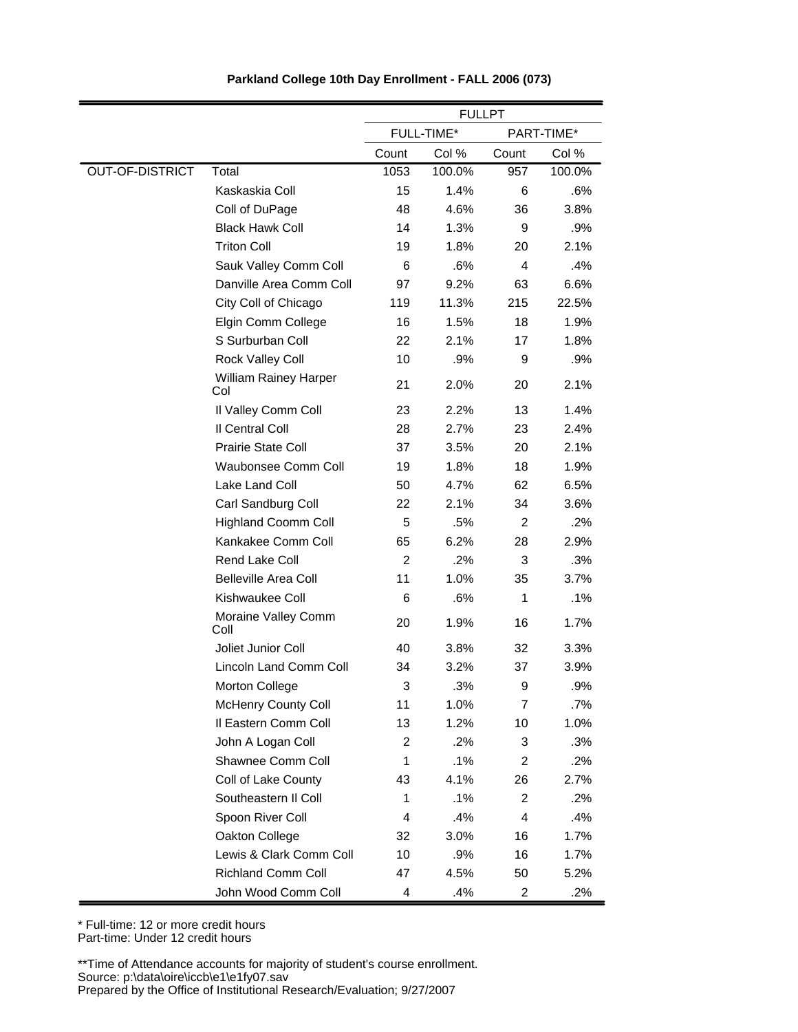|                        |                                     | <b>FULLPT</b>  |            |                |            |
|------------------------|-------------------------------------|----------------|------------|----------------|------------|
|                        |                                     |                | FULL-TIME* |                | PART-TIME* |
|                        |                                     | Count          | Col %      | Count          | Col %      |
| <b>OUT-OF-DISTRICT</b> | Total                               | 1053           | 100.0%     | 957            | 100.0%     |
|                        | Kaskaskia Coll                      | 15             | 1.4%       | 6              | .6%        |
|                        | Coll of DuPage                      | 48             | 4.6%       | 36             | 3.8%       |
|                        | <b>Black Hawk Coll</b>              | 14             | 1.3%       | 9              | .9%        |
|                        | <b>Triton Coll</b>                  | 19             | 1.8%       | 20             | 2.1%       |
|                        | Sauk Valley Comm Coll               | 6              | .6%        | 4              | .4%        |
|                        | Danville Area Comm Coll             | 97             | 9.2%       | 63             | 6.6%       |
|                        | City Coll of Chicago                | 119            | 11.3%      | 215            | 22.5%      |
|                        | Elgin Comm College                  | 16             | 1.5%       | 18             | 1.9%       |
|                        | S Surburban Coll                    | 22             | 2.1%       | 17             | 1.8%       |
|                        | Rock Valley Coll                    | 10             | .9%        | 9              | .9%        |
|                        | <b>William Rainey Harper</b><br>Col | 21             | 2.0%       | 20             | 2.1%       |
|                        | Il Valley Comm Coll                 | 23             | 2.2%       | 13             | 1.4%       |
|                        | Il Central Coll                     | 28             | 2.7%       | 23             | 2.4%       |
|                        | <b>Prairie State Coll</b>           | 37             | 3.5%       | 20             | 2.1%       |
|                        | Waubonsee Comm Coll                 | 19             | 1.8%       | 18             | 1.9%       |
|                        | Lake Land Coll                      | 50             | 4.7%       | 62             | 6.5%       |
|                        | Carl Sandburg Coll                  | 22             | 2.1%       | 34             | 3.6%       |
|                        | <b>Highland Coomm Coll</b>          | 5              | .5%        | 2              | .2%        |
|                        | Kankakee Comm Coll                  | 65             | 6.2%       | 28             | 2.9%       |
|                        | Rend Lake Coll                      | $\overline{c}$ | .2%        | 3              | .3%        |
|                        | <b>Belleville Area Coll</b>         | 11             | 1.0%       | 35             | 3.7%       |
|                        | Kishwaukee Coll                     | 6              | .6%        | 1              | $.1\%$     |
|                        | Moraine Valley Comm<br>Coll         | 20             | 1.9%       | 16             | 1.7%       |
|                        | Joliet Junior Coll                  | 40             | 3.8%       | 32             | 3.3%       |
|                        | Lincoln Land Comm Coll              | 34             | 3.2%       | 37             | 3.9%       |
|                        | <b>Morton College</b>               | 3              | .3%        | 9              | .9%        |
|                        | <b>McHenry County Coll</b>          | 11             | 1.0%       | $\overline{7}$ | .7%        |
|                        | Il Eastern Comm Coll                | 13             | 1.2%       | 10             | 1.0%       |
|                        | John A Logan Coll                   | 2              | .2%        | 3              | .3%        |
|                        | Shawnee Comm Coll                   | 1              | .1%        | 2              | .2%        |
|                        | Coll of Lake County                 | 43             | 4.1%       | 26             | 2.7%       |
|                        | Southeastern II Coll                | 1              | .1%        | 2              | .2%        |
|                        | Spoon River Coll                    | 4              | .4%        | 4              | .4%        |
|                        | Oakton College                      | 32             | 3.0%       | 16             | 1.7%       |
|                        | Lewis & Clark Comm Coll             | 10             | .9%        | 16             | 1.7%       |
|                        | <b>Richland Comm Coll</b>           | 47             | 4.5%       | 50             | 5.2%       |
|                        | John Wood Comm Coll                 | 4              | .4%        | 2              | .2%        |

\* Full-time: 12 or more credit hours Part-time: Under 12 credit hours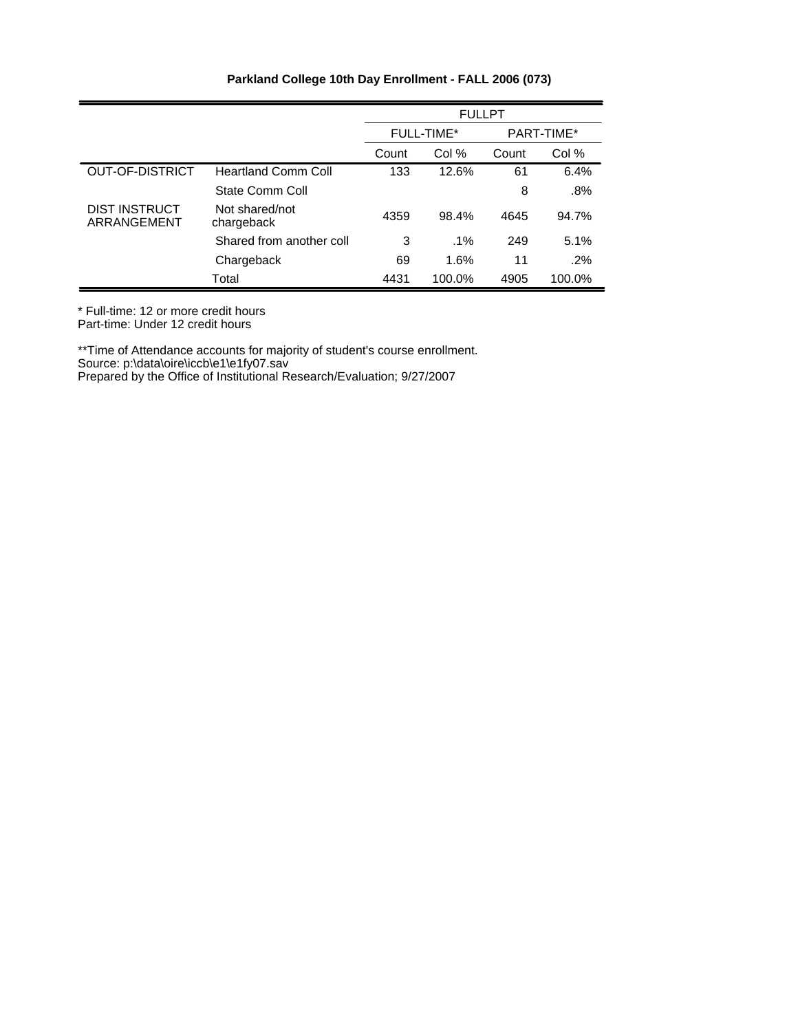|                              |                              |       | <b>FULLPT</b>            |       |        |  |
|------------------------------|------------------------------|-------|--------------------------|-------|--------|--|
|                              |                              |       | PART-TIME*<br>FULL-TIME* |       |        |  |
|                              |                              | Count | Col %                    | Count | Col %  |  |
| <b>OUT-OF-DISTRICT</b>       | <b>Heartland Comm Coll</b>   | 133   | 12.6%                    | 61    | 6.4%   |  |
|                              | State Comm Coll              |       |                          | 8     | .8%    |  |
| DIST INSTRUCT<br>ARRANGEMENT | Not shared/not<br>chargeback | 4359  | 98.4%                    | 4645  | 94.7%  |  |
|                              | Shared from another coll     | 3     | $.1\%$                   | 249   | 5.1%   |  |
|                              | Chargeback                   | 69    | 1.6%                     | 11    | $.2\%$ |  |
|                              | Total                        | 4431  | 100.0%                   | 4905  | 100.0% |  |

\* Full-time: 12 or more credit hours

Part-time: Under 12 credit hours

\*\*Time of Attendance accounts for majority of student's course enrollment.

Source: p:\data\oire\iccb\e1\e1fy07.sav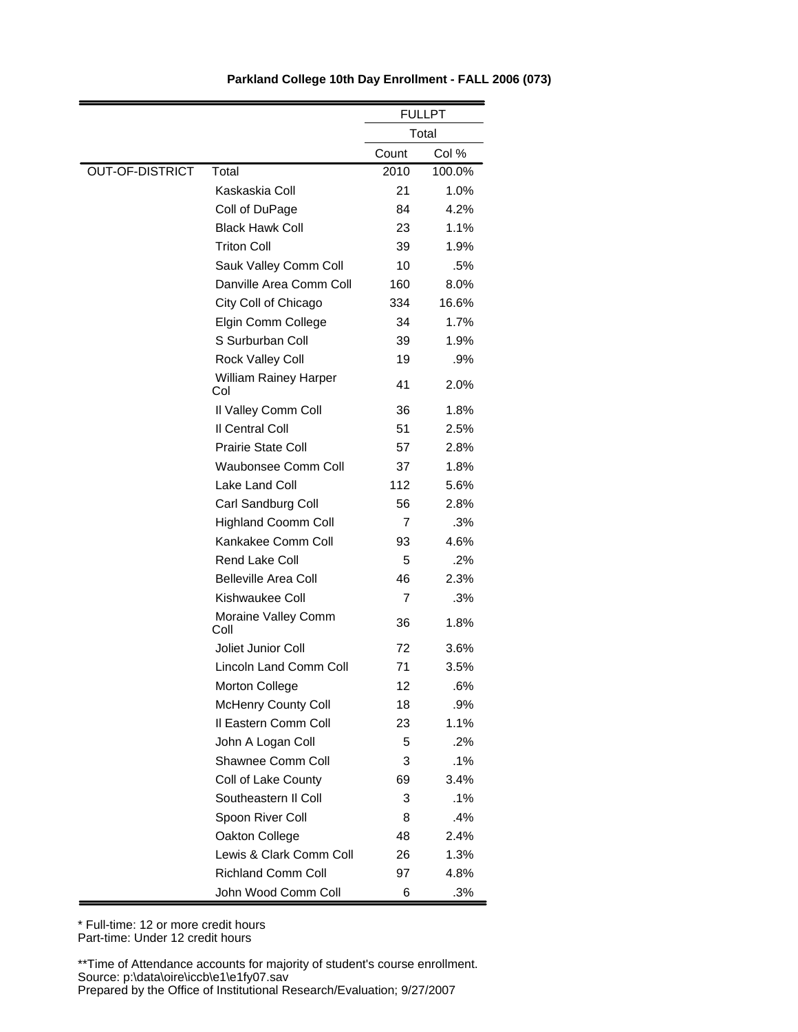|                        |                                     |       | <b>FULLPT</b> |
|------------------------|-------------------------------------|-------|---------------|
|                        |                                     |       | Total         |
|                        |                                     | Count | Col %         |
| <b>OUT-OF-DISTRICT</b> | Total                               | 2010  | 100.0%        |
|                        | Kaskaskia Coll                      | 21    | 1.0%          |
|                        | Coll of DuPage                      | 84    | 4.2%          |
|                        | <b>Black Hawk Coll</b>              | 23    | 1.1%          |
|                        | <b>Triton Coll</b>                  | 39    | 1.9%          |
|                        | Sauk Valley Comm Coll               | 10    | .5%           |
|                        | Danville Area Comm Coll             | 160   | 8.0%          |
|                        | City Coll of Chicago                | 334   | 16.6%         |
|                        | Elgin Comm College                  | 34    | 1.7%          |
|                        | S Surburban Coll                    | 39    | 1.9%          |
|                        | Rock Valley Coll                    | 19    | .9%           |
|                        | <b>William Rainey Harper</b><br>Col | 41    | 2.0%          |
|                        | Il Valley Comm Coll                 | 36    | 1.8%          |
|                        | Il Central Coll                     | 51    | 2.5%          |
|                        | <b>Prairie State Coll</b>           | 57    | 2.8%          |
|                        | Waubonsee Comm Coll                 | 37    | 1.8%          |
|                        | Lake Land Coll                      | 112   | 5.6%          |
|                        | Carl Sandburg Coll                  | 56    | 2.8%          |
|                        | <b>Highland Coomm Coll</b>          | 7     | .3%           |
|                        | Kankakee Comm Coll                  | 93    | 4.6%          |
|                        | Rend Lake Coll                      | 5     | .2%           |
|                        | <b>Belleville Area Coll</b>         | 46    | 2.3%          |
|                        | Kishwaukee Coll                     | 7     | .3%           |
|                        | Moraine Valley Comm<br>Coll         | 36    | 1.8%          |
|                        | Joliet Junior Coll                  | 72    | 3.6%          |
|                        | Lincoln Land Comm Coll              | 71    | 3.5%          |
|                        | Morton College                      | 12    | .6%           |
|                        | McHenry County Coll                 | 18    | $.9\%$        |
|                        | Il Eastern Comm Coll                | 23    | 1.1%          |
|                        | John A Logan Coll                   | 5     | .2%           |
|                        | Shawnee Comm Coll                   | 3     | .1%           |
|                        | Coll of Lake County                 | 69    | 3.4%          |
|                        | Southeastern II Coll                | 3     | .1%           |
|                        | Spoon River Coll                    | 8     | .4%           |
|                        | Oakton College                      | 48    | 2.4%          |
|                        | Lewis & Clark Comm Coll             | 26    | 1.3%          |
|                        | <b>Richland Comm Coll</b>           | 97    | 4.8%          |
|                        | John Wood Comm Coll                 | 6     | .3%           |

\* Full-time: 12 or more credit hours Part-time: Under 12 credit hours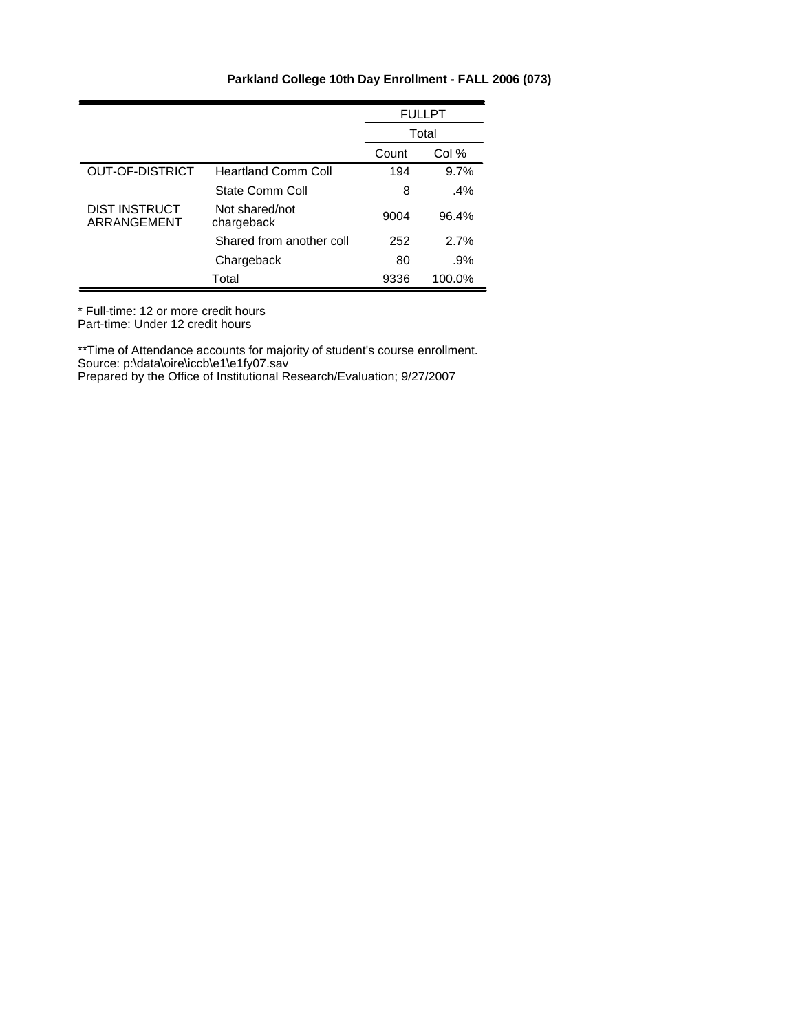|                              |                              |       | <b>FULLPT</b> |
|------------------------------|------------------------------|-------|---------------|
|                              |                              |       | Total         |
|                              |                              | Count | Col %         |
| <b>OUT-OF-DISTRICT</b>       | <b>Heartland Comm Coll</b>   | 194   | 9.7%          |
|                              | State Comm Coll              | 8     | $.4\%$        |
| DIST INSTRUCT<br>ARRANGEMENT | Not shared/not<br>chargeback | 9004  | 96.4%         |
|                              | Shared from another coll     | 252   | 2.7%          |
|                              | Chargeback                   | 80    | .9%           |
|                              | Total                        | 9336  | 100.0%        |

\* Full-time: 12 or more credit hours Part-time: Under 12 credit hours

\*\*Time of Attendance accounts for majority of student's course enrollment. Source: p:\data\oire\iccb\e1\e1fy07.sav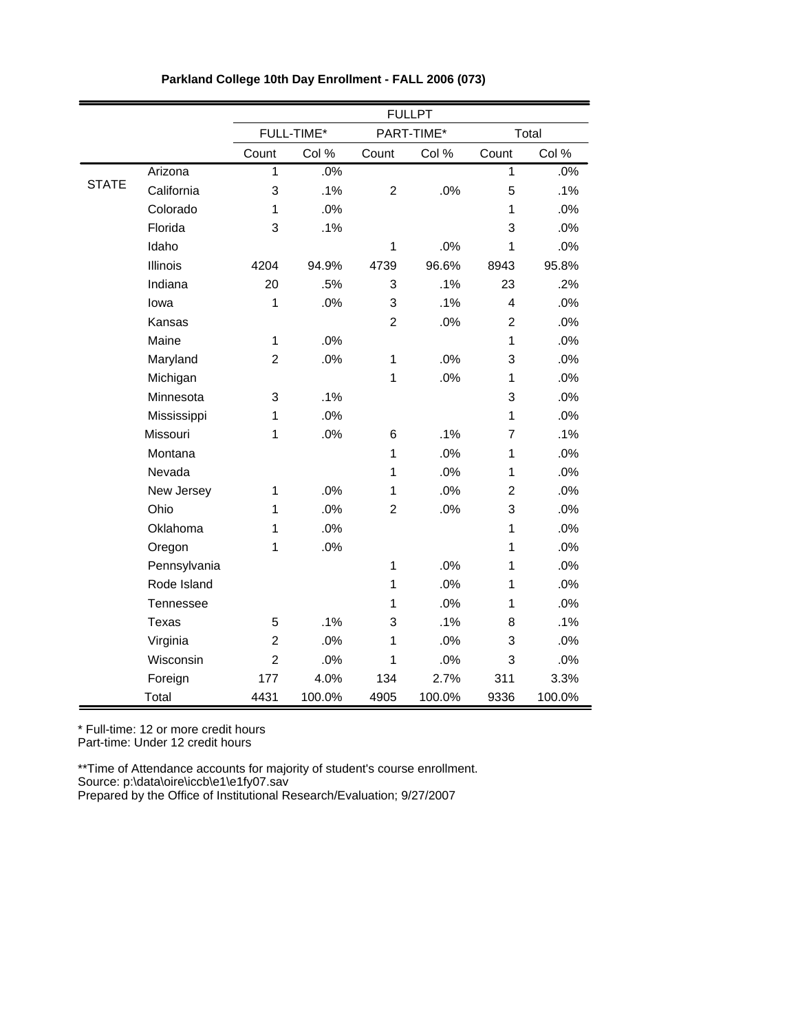|              |              |                |            |                | <b>FULLPT</b> |                         |        |
|--------------|--------------|----------------|------------|----------------|---------------|-------------------------|--------|
|              |              |                | FULL-TIME* |                | PART-TIME*    |                         | Total  |
|              |              | Count          | Col %      | Count          | Col %         | Count                   | Col %  |
|              | Arizona      | $\mathbf{1}$   | $.0\%$     |                |               | $\overline{1}$          | .0%    |
| <b>STATE</b> | California   | 3              | .1%        | $\overline{c}$ | .0%           | 5                       | .1%    |
|              | Colorado     | 1              | .0%        |                |               | 1                       | .0%    |
|              | Florida      | 3              | .1%        |                |               | 3                       | .0%    |
|              | Idaho        |                |            | $\mathbf{1}$   | .0%           | $\mathbf{1}$            | .0%    |
|              | Illinois     | 4204           | 94.9%      | 4739           | 96.6%         | 8943                    | 95.8%  |
|              | Indiana      | 20             | .5%        | 3              | .1%           | 23                      | .2%    |
|              | lowa         | 1              | .0%        | 3              | .1%           | $\overline{\mathbf{4}}$ | .0%    |
|              | Kansas       |                |            | $\overline{2}$ | .0%           | $\overline{2}$          | .0%    |
|              | Maine        | 1              | .0%        |                |               | 1                       | .0%    |
|              | Maryland     | $\overline{c}$ | .0%        | 1              | .0%           | 3                       | .0%    |
|              | Michigan     |                |            | 1              | .0%           | 1                       | .0%    |
|              | Minnesota    | 3              | .1%        |                |               | 3                       | .0%    |
|              | Mississippi  | $\mathbf{1}$   | .0%        |                |               | 1                       | .0%    |
|              | Missouri     | 1              | .0%        | 6              | .1%           | 7                       | .1%    |
|              | Montana      |                |            | 1              | .0%           | $\mathbf{1}$            | .0%    |
|              | Nevada       |                |            | 1              | .0%           | 1                       | .0%    |
|              | New Jersey   | 1              | .0%        | 1              | .0%           | $\overline{c}$          | .0%    |
|              | Ohio         | $\mathbf{1}$   | .0%        | $\overline{2}$ | .0%           | 3                       | .0%    |
|              | Oklahoma     | 1              | .0%        |                |               | $\mathbf{1}$            | .0%    |
|              | Oregon       | 1              | .0%        |                |               | 1                       | .0%    |
|              | Pennsylvania |                |            | 1              | .0%           | 1                       | .0%    |
|              | Rode Island  |                |            | 1              | .0%           | 1                       | .0%    |
|              | Tennessee    |                |            | 1              | .0%           | 1                       | .0%    |
|              | Texas        | 5              | .1%        | 3              | .1%           | 8                       | .1%    |
|              | Virginia     | $\overline{c}$ | .0%        | 1              | .0%           | 3                       | .0%    |
|              | Wisconsin    | $\overline{c}$ | .0%        | 1              | .0%           | 3                       | .0%    |
|              | Foreign      | 177            | 4.0%       | 134            | 2.7%          | 311                     | 3.3%   |
|              | Total        | 4431           | 100.0%     | 4905           | 100.0%        | 9336                    | 100.0% |

\* Full-time: 12 or more credit hours Part-time: Under 12 credit hours

\*\*Time of Attendance accounts for majority of student's course enrollment. Source: p:\data\oire\iccb\e1\e1fy07.sav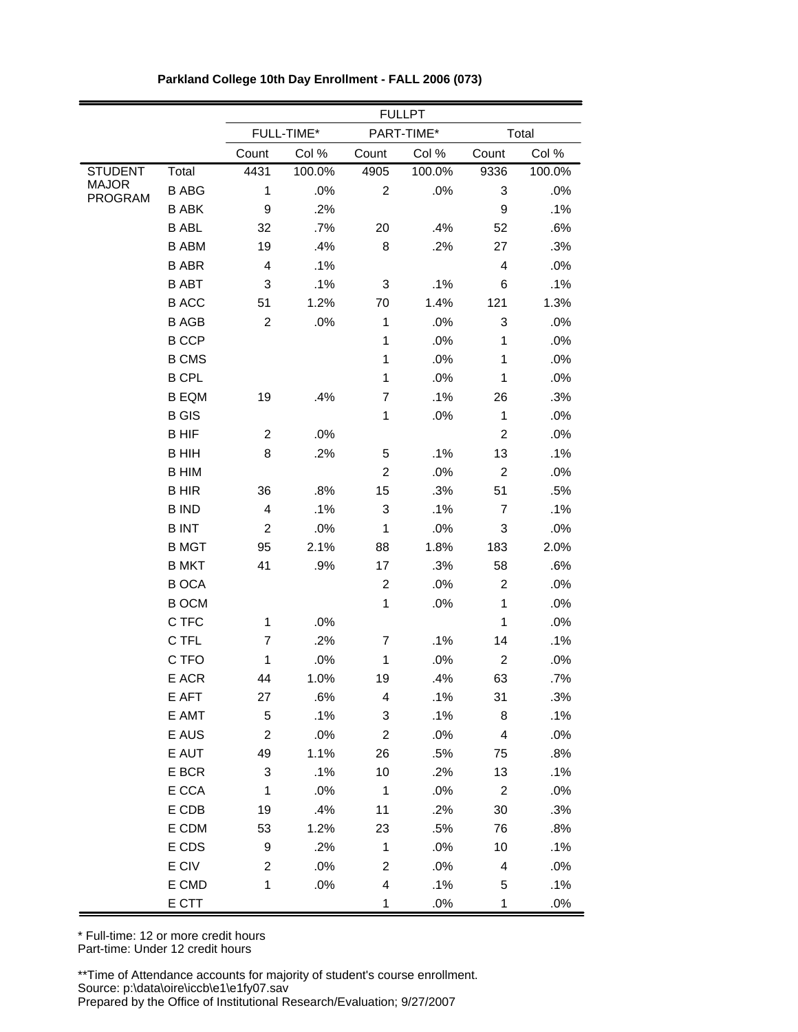|                         |              | <b>FULLPT</b>    |            |                           |            |                          |        |  |
|-------------------------|--------------|------------------|------------|---------------------------|------------|--------------------------|--------|--|
|                         |              |                  | FULL-TIME* |                           | PART-TIME* |                          | Total  |  |
|                         |              | Count            | Col %      | Count                     | Col %      | Count                    | Col %  |  |
| <b>STUDENT</b>          | Total        | 4431             | 100.0%     | 4905                      | 100.0%     | 9336                     | 100.0% |  |
| <b>MAJOR</b><br>PROGRAM | <b>B ABG</b> | 1                | .0%        | $\overline{c}$            | .0%        | 3                        | .0%    |  |
|                         | <b>B ABK</b> | $\mathsf g$      | .2%        |                           |            | 9                        | .1%    |  |
|                         | <b>B ABL</b> | 32               | .7%        | 20                        | .4%        | 52                       | .6%    |  |
|                         | <b>B ABM</b> | 19               | .4%        | 8                         | .2%        | 27                       | .3%    |  |
|                         | <b>B ABR</b> | 4                | .1%        |                           |            | $\overline{\mathcal{L}}$ | .0%    |  |
|                         | <b>B ABT</b> | 3                | .1%        | 3                         | .1%        | 6                        | .1%    |  |
|                         | <b>BACC</b>  | 51               | 1.2%       | 70                        | 1.4%       | 121                      | 1.3%   |  |
|                         | <b>BAGB</b>  | $\overline{2}$   | .0%        | $\mathbf 1$               | .0%        | 3                        | .0%    |  |
|                         | <b>B CCP</b> |                  |            | $\mathbf{1}$              | .0%        | 1                        | .0%    |  |
|                         | <b>B CMS</b> |                  |            | $\mathbf{1}$              | .0%        | $\mathbf{1}$             | .0%    |  |
|                         | <b>B CPL</b> |                  |            | $\mathbf{1}$              | .0%        | 1                        | .0%    |  |
|                         | <b>B EQM</b> | 19               | .4%        | $\overline{7}$            | .1%        | 26                       | .3%    |  |
|                         | <b>B</b> GIS |                  |            | $\mathbf{1}$              | .0%        | $\mathbf 1$              | .0%    |  |
|                         | <b>BHIF</b>  | $\overline{c}$   | .0%        |                           |            | $\overline{2}$           | .0%    |  |
|                         | <b>BHIH</b>  | 8                | .2%        | 5                         | .1%        | 13                       | .1%    |  |
|                         | <b>B HIM</b> |                  |            | $\overline{2}$            | .0%        | $\overline{c}$           | .0%    |  |
|                         | <b>BHIR</b>  | 36               | .8%        | 15                        | .3%        | 51                       | .5%    |  |
|                         | <b>B IND</b> | $\overline{4}$   | .1%        | 3                         | .1%        | 7                        | .1%    |  |
|                         | <b>BINT</b>  | $\overline{c}$   | .0%        | $\mathbf{1}$              | .0%        | 3                        | .0%    |  |
|                         | <b>B MGT</b> | 95               | 2.1%       | 88                        | 1.8%       | 183                      | 2.0%   |  |
|                         | <b>B MKT</b> | 41               | .9%        | 17                        | .3%        | 58                       | .6%    |  |
|                         | <b>BOCA</b>  |                  |            | $\overline{2}$            | .0%        | $\overline{c}$           | .0%    |  |
|                         | <b>B OCM</b> |                  |            | $\mathbf{1}$              | .0%        | $\mathbf 1$              | .0%    |  |
|                         | C TFC        | 1                | .0%        |                           |            | 1                        | .0%    |  |
|                         | C TFL        | $\overline{7}$   | .2%        | 7                         | .1%        | 14                       | .1%    |  |
|                         | C TFO        | $\mathbf 1$      | .0%        | $\mathbf{1}$              | .0%        | $\overline{c}$           | .0%    |  |
|                         | E ACR        | 44               | 1.0%       | 19                        | .4%        | 63                       | $.7\%$ |  |
|                         | E AFT        | 27               | .6%        | 4                         | $.1\%$     | 31                       | .3%    |  |
|                         | E AMT        | $\sqrt{5}$       | .1%        | $\ensuremath{\mathsf{3}}$ | .1%        | 8                        | .1%    |  |
|                         | E AUS        | $\overline{c}$   | $.0\%$     | $\overline{2}$            | .0%        | $\overline{\mathbf{4}}$  | .0%    |  |
|                         | E AUT        | 49               | 1.1%       | 26                        | .5%        | 75                       | .8%    |  |
|                         | E BCR        | $\mathbf{3}$     | .1%        | 10                        | .2%        | 13                       | .1%    |  |
|                         | E CCA        | $\mathbf{1}$     | .0%        | $\overline{1}$            | .0%        | $\overline{2}$           | .0%    |  |
|                         | $E$ CDB      | 19               | .4%        | 11                        | .2%        | 30                       | .3%    |  |
|                         | E CDM        | 53               | 1.2%       | 23                        | .5%        | 76                       | .8%    |  |
|                         | E CDS        | $\boldsymbol{9}$ | .2%        | $\mathbf{1}$              | .0%        | $10$                     | .1%    |  |
|                         | E CIV        | $\overline{2}$   | $.0\%$     | $\overline{2}$            | .0%        | $\overline{4}$           | .0%    |  |
|                         | E CMD        | $\mathbf{1}$     | $.0\%$     | $\overline{\mathbf{4}}$   | .1%        | 5                        | .1%    |  |
|                         | E CTT        |                  |            | $\mathbf{1}$              | .0%        | 1                        | .0%    |  |

| Parkland College 10th Day Enrollment - FALL 2006 (073) |  |  |
|--------------------------------------------------------|--|--|
|                                                        |  |  |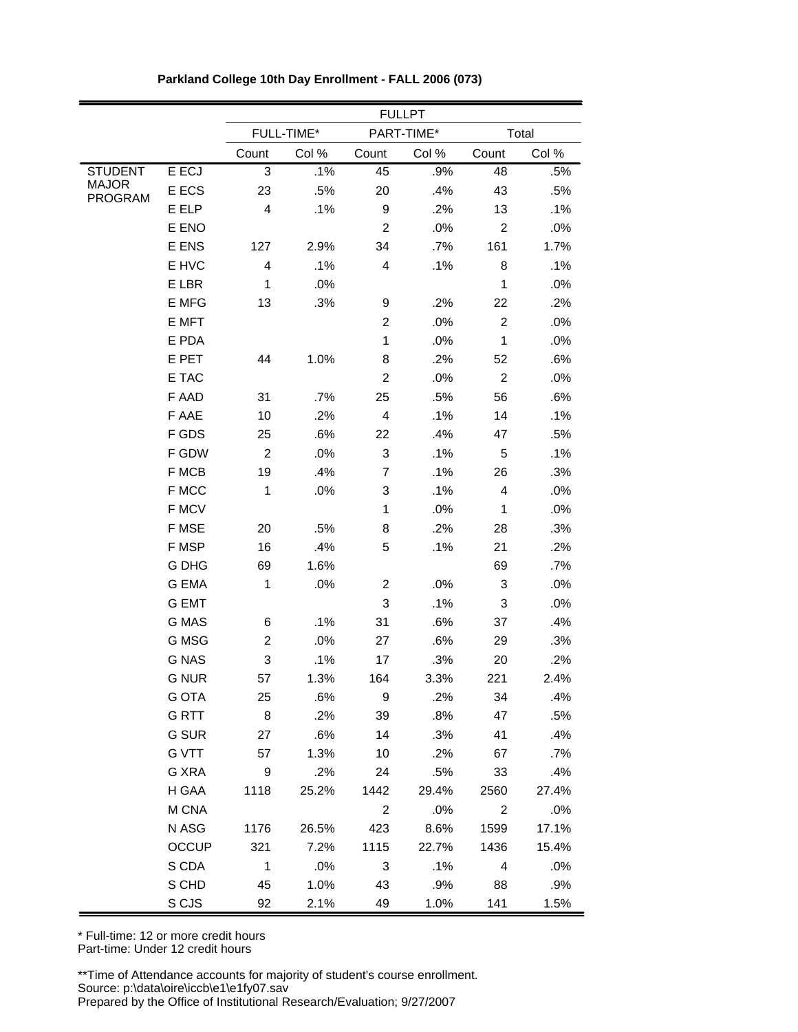|                         |              | <b>FULLPT</b>  |            |                         |            |                         |       |  |
|-------------------------|--------------|----------------|------------|-------------------------|------------|-------------------------|-------|--|
|                         |              |                | FULL-TIME* |                         | PART-TIME* |                         | Total |  |
|                         |              | Count          | Col %      | Count                   | Col %      | Count                   | Col % |  |
| <b>STUDENT</b>          | E ECJ        | 3              | .1%        | 45                      | .9%        | 48                      | .5%   |  |
| <b>MAJOR</b><br>PROGRAM | E ECS        | 23             | .5%        | 20                      | .4%        | 43                      | .5%   |  |
|                         | E ELP        | 4              | .1%        | 9                       | .2%        | 13                      | .1%   |  |
|                         | E ENO        |                |            | $\overline{c}$          | .0%        | $\overline{c}$          | .0%   |  |
|                         | E ENS        | 127            | 2.9%       | 34                      | .7%        | 161                     | 1.7%  |  |
|                         | E HVC        | 4              | .1%        | 4                       | .1%        | 8                       | .1%   |  |
|                         | E LBR        | $\mathbf 1$    | .0%        |                         |            | 1                       | .0%   |  |
|                         | E MFG        | 13             | .3%        | 9                       | .2%        | 22                      | .2%   |  |
|                         | E MFT        |                |            | $\overline{c}$          | .0%        | $\overline{c}$          | .0%   |  |
|                         | E PDA        |                |            | $\mathbf{1}$            | .0%        | 1                       | .0%   |  |
|                         | E PET        | 44             | 1.0%       | 8                       | .2%        | 52                      | .6%   |  |
|                         | E TAC        |                |            | $\overline{c}$          | .0%        | $\overline{c}$          | .0%   |  |
|                         | F AAD        | 31             | .7%        | 25                      | .5%        | 56                      | .6%   |  |
|                         | F AAE        | 10             | .2%        | 4                       | .1%        | 14                      | .1%   |  |
|                         | F GDS        | 25             | .6%        | 22                      | .4%        | 47                      | .5%   |  |
|                         | F GDW        | $\overline{c}$ | .0%        | 3                       | .1%        | 5                       | .1%   |  |
|                         | F MCB        | 19             | .4%        | 7                       | .1%        | 26                      | .3%   |  |
|                         | F MCC        | 1              | .0%        | 3                       | .1%        | $\overline{4}$          | .0%   |  |
|                         | F MCV        |                |            | $\mathbf{1}$            | .0%        | $\mathbf{1}$            | .0%   |  |
|                         | F MSE        | 20             | .5%        | 8                       | .2%        | 28                      | .3%   |  |
|                         | F MSP        | 16             | .4%        | 5                       | .1%        | 21                      | .2%   |  |
|                         | G DHG        | 69             | 1.6%       |                         |            | 69                      | .7%   |  |
|                         | <b>G EMA</b> | 1              | .0%        | 2                       | .0%        | 3                       | .0%   |  |
|                         | <b>G EMT</b> |                |            | 3                       | .1%        | 3                       | .0%   |  |
|                         | G MAS        | 6              | .1%        | 31                      | .6%        | 37                      | .4%   |  |
|                         | G MSG        | $\overline{c}$ | .0%        | 27                      | .6%        | 29                      | .3%   |  |
|                         | <b>G NAS</b> | 3              | .1%        | 17                      | .3%        | 20                      | .2%   |  |
|                         | <b>G NUR</b> | 57             | 1.3%       | 164                     | 3.3%       | 221                     | 2.4%  |  |
|                         | G OTA        | 25             | .6%        | - 9                     | $.2\%$     | 34                      | .4%   |  |
|                         | <b>GRTT</b>  | 8              | .2%        | 39                      | $.8\%$     | 47                      | .5%   |  |
|                         | G SUR        | 27             | .6%        | 14                      | .3%        | 41                      | .4%   |  |
|                         | G VTT        | 57             | 1.3%       | 10                      | .2%        | 67                      | .7%   |  |
|                         | G XRA        | 9              | $.2\%$     | 24                      | .5%        | 33                      | .4%   |  |
|                         | H GAA        | 1118           | 25.2%      | 1442                    | 29.4%      | 2560                    | 27.4% |  |
|                         | M CNA        |                |            | 2                       | .0%        | 2                       | .0%   |  |
|                         | N ASG        | 1176           | 26.5%      | 423                     | 8.6%       | 1599                    | 17.1% |  |
|                         | <b>OCCUP</b> | 321            | 7.2%       | 1115                    | 22.7%      | 1436                    | 15.4% |  |
|                         | S CDA        | $\overline{1}$ | $.0\%$     | $\overline{\mathbf{3}}$ | .1%        | $\overline{\mathbf{4}}$ | .0%   |  |
|                         | S CHD        | 45             | 1.0%       | 43                      | $.9\%$     | 88                      | .9%   |  |
|                         | S CJS        | 92             | 2.1%       | 49                      | 1.0%       | 141                     | 1.5%  |  |

**Parkland College 10th Day Enrollment - FALL 2006 (073)**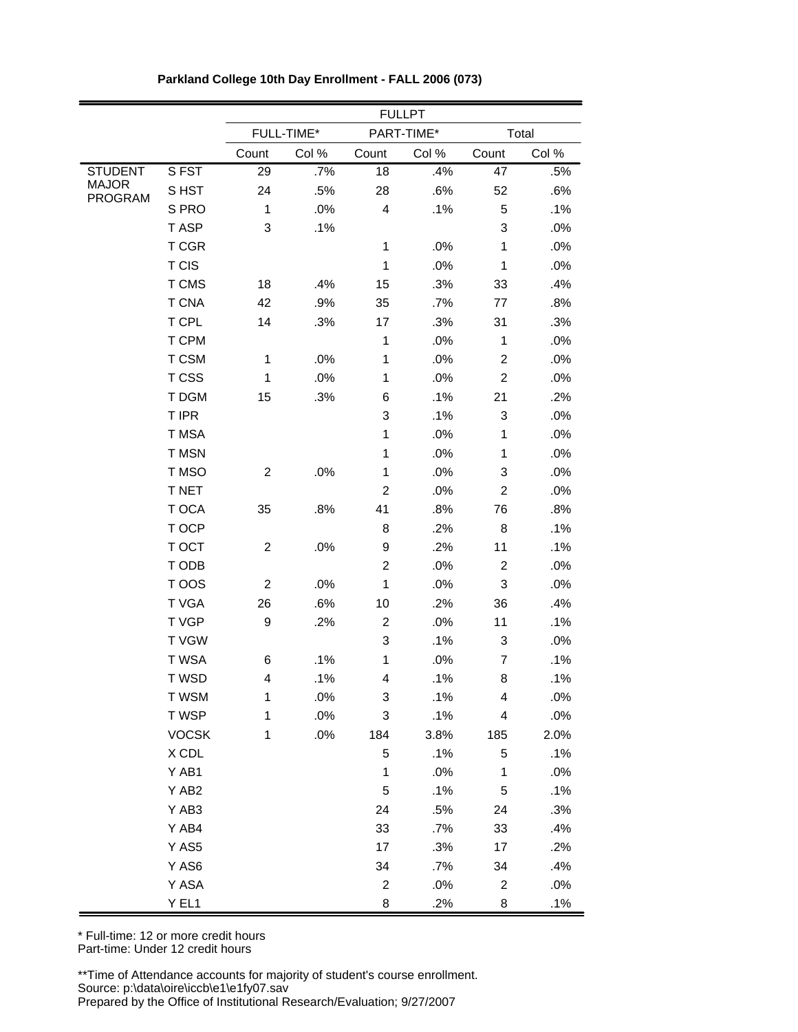|                         |              | <b>FULLPT</b>  |            |                |            |                          |       |  |
|-------------------------|--------------|----------------|------------|----------------|------------|--------------------------|-------|--|
|                         |              |                | FULL-TIME* |                | PART-TIME* |                          | Total |  |
|                         |              | Count          | Col %      | Count          | Col %      | Count                    | Col % |  |
| <b>STUDENT</b>          | SFST         | 29             | .7%        | 18             | .4%        | 47                       | .5%   |  |
| <b>MAJOR</b><br>PROGRAM | S HST        | 24             | .5%        | 28             | .6%        | 52                       | .6%   |  |
|                         | S PRO        | $\mathbf{1}$   | $.0\%$     | 4              | .1%        | 5                        | .1%   |  |
|                         | T ASP        | 3              | .1%        |                |            | 3                        | .0%   |  |
|                         | T CGR        |                |            | $\mathbf 1$    | .0%        | $\mathbf{1}$             | .0%   |  |
|                         | T CIS        |                |            | $\mathbf{1}$   | $.0\%$     | $\mathbf{1}$             | .0%   |  |
|                         | T CMS        | 18             | .4%        | 15             | .3%        | 33                       | .4%   |  |
|                         | <b>T CNA</b> | 42             | .9%        | 35             | .7%        | 77                       | .8%   |  |
|                         | T CPL        | 14             | .3%        | 17             | .3%        | 31                       | .3%   |  |
|                         | T CPM        |                |            | $\mathbf{1}$   | .0%        | 1                        | .0%   |  |
|                         | T CSM        | $\mathbf 1$    | .0%        | $\mathbf{1}$   | $.0\%$     | $\overline{c}$           | .0%   |  |
|                         | T CSS        | 1              | .0%        | $\mathbf{1}$   | .0%        | $\overline{c}$           | .0%   |  |
|                         | T DGM        | 15             | .3%        | 6              | .1%        | 21                       | .2%   |  |
|                         | T IPR        |                |            | 3              | .1%        | 3                        | .0%   |  |
|                         | T MSA        |                |            | $\mathbf{1}$   | $.0\%$     | $\mathbf{1}$             | .0%   |  |
|                         | T MSN        |                |            | $\mathbf{1}$   | $.0\%$     | 1                        | .0%   |  |
|                         | T MSO        | $\overline{c}$ | .0%        | $\mathbf{1}$   | .0%        | 3                        | .0%   |  |
|                         | T NET        |                |            | $\overline{c}$ | .0%        | $\overline{c}$           | .0%   |  |
|                         | T OCA        | 35             | .8%        | 41             | .8%        | 76                       | .8%   |  |
|                         | T OCP        |                |            | 8              | .2%        | 8                        | .1%   |  |
|                         | T OCT        | $\overline{c}$ | $.0\%$     | 9              | .2%        | 11                       | .1%   |  |
|                         | T ODB        |                |            | $\overline{c}$ | .0%        | $\overline{c}$           | .0%   |  |
|                         | T OOS        | $\overline{c}$ | .0%        | $\mathbf{1}$   | .0%        | 3                        | .0%   |  |
|                         | T VGA        | 26             | .6%        | 10             | .2%        | 36                       | .4%   |  |
|                         | T VGP        | 9              | .2%        | $\overline{c}$ | .0%        | 11                       | .1%   |  |
|                         | <b>TVGW</b>  |                |            | 3              | .1%        | 3                        | .0%   |  |
|                         | T WSA        | 6              | .1%        | $\mathbf 1$    | .0%        | $\overline{7}$           | .1%   |  |
|                         | T WSD        | 4              | .1%        | 4              | .1%        | 8                        | .1%   |  |
|                         | T WSM        | 1              | .0%        | 3              | .1%        | 4                        | .0%   |  |
|                         | T WSP        | $\mathbf{1}$   | .0%        | 3              | .1%        | $\overline{\mathcal{L}}$ | .0%   |  |
|                         | <b>VOCSK</b> | $\mathbf{1}$   | $.0\%$     | 184            | 3.8%       | 185                      | 2.0%  |  |
|                         | X CDL        |                |            | 5              | .1%        | 5                        | .1%   |  |
|                         | Y AB1        |                |            | $\mathbf{1}$   | .0%        | $\mathbf{1}$             | .0%   |  |
|                         | Y AB2        |                |            | 5              | .1%        | 5                        | .1%   |  |
|                         | Y AB3        |                |            | 24             | .5%        | 24                       | .3%   |  |
|                         | Y AB4        |                |            | 33             | .7%        | 33                       | .4%   |  |
|                         | Y AS5        |                |            | 17             | .3%        | 17                       | .2%   |  |
|                         | Y AS6        |                |            | 34             | .7%        | 34                       | .4%   |  |
|                         | Y ASA        |                |            | $\overline{2}$ | .0%        | $\overline{2}$           | .0%   |  |
|                         | Y EL1        |                |            | 8              | .2%        | 8                        | .1%   |  |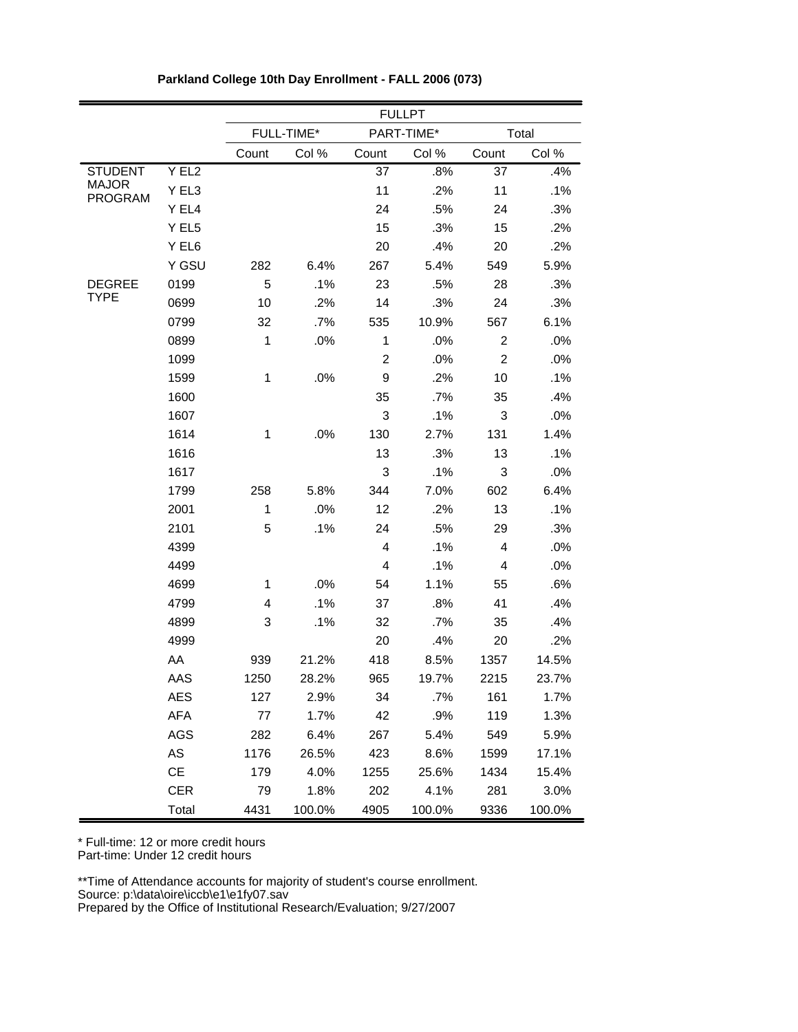|                         |            | <b>FULLPT</b>  |            |                |            |                |        |  |
|-------------------------|------------|----------------|------------|----------------|------------|----------------|--------|--|
|                         |            |                | FULL-TIME* |                | PART-TIME* |                | Total  |  |
|                         |            | Count          | Col %      | Count          | Col %      | Count          | Col %  |  |
| <b>STUDENT</b>          | Y EL2      |                |            | 37             | .8%        | 37             | .4%    |  |
| <b>MAJOR</b><br>PROGRAM | Y EL3      |                |            | 11             | .2%        | 11             | .1%    |  |
|                         | Y EL4      |                |            | 24             | .5%        | 24             | .3%    |  |
|                         | Y EL5      |                |            | 15             | .3%        | 15             | .2%    |  |
|                         | Y EL6      |                |            | 20             | .4%        | 20             | .2%    |  |
|                         | Y GSU      | 282            | 6.4%       | 267            | 5.4%       | 549            | 5.9%   |  |
| <b>DEGREE</b>           | 0199       | 5              | .1%        | 23             | .5%        | 28             | .3%    |  |
| <b>TYPE</b>             | 0699       | 10             | .2%        | 14             | .3%        | 24             | .3%    |  |
|                         | 0799       | 32             | .7%        | 535            | 10.9%      | 567            | 6.1%   |  |
|                         | 0899       | $\mathbf{1}$   | .0%        | 1              | .0%        | 2              | .0%    |  |
|                         | 1099       |                |            | $\overline{c}$ | .0%        | $\overline{c}$ | .0%    |  |
|                         | 1599       | $\mathbf{1}$   | .0%        | 9              | .2%        | 10             | .1%    |  |
|                         | 1600       |                |            | 35             | .7%        | 35             | .4%    |  |
|                         | 1607       |                |            | 3              | .1%        | 3              | .0%    |  |
|                         | 1614       | $\mathbf 1$    | .0%        | 130            | 2.7%       | 131            | 1.4%   |  |
|                         | 1616       |                |            | 13             | .3%        | 13             | .1%    |  |
|                         | 1617       |                |            | 3              | .1%        | 3              | .0%    |  |
|                         | 1799       | 258            | 5.8%       | 344            | 7.0%       | 602            | 6.4%   |  |
|                         | 2001       | $\mathbf 1$    | .0%        | 12             | .2%        | 13             | .1%    |  |
|                         | 2101       | 5              | .1%        | 24             | .5%        | 29             | .3%    |  |
|                         | 4399       |                |            | 4              | .1%        | 4              | .0%    |  |
|                         | 4499       |                |            | 4              | .1%        | 4              | .0%    |  |
|                         | 4699       | 1              | .0%        | 54             | 1.1%       | 55             | .6%    |  |
|                         | 4799       | $\overline{4}$ | .1%        | 37             | .8%        | 41             | .4%    |  |
|                         | 4899       | 3              | .1%        | 32             | .7%        | 35             | .4%    |  |
|                         | 4999       |                |            | 20             | .4%        | 20             | .2%    |  |
|                         | AA         | 939            | 21.2%      | 418            | 8.5%       | 1357           | 14.5%  |  |
|                         | AAS        | 1250           | 28.2%      | 965            | 19.7%      | 2215           | 23.7%  |  |
|                         | AES        | 127            | 2.9%       | 34             | $.7\%$     | 161            | 1.7%   |  |
|                         | AFA        | 77             | 1.7%       | 42             | .9%        | 119            | 1.3%   |  |
|                         | <b>AGS</b> | 282            | 6.4%       | 267            | 5.4%       | 549            | 5.9%   |  |
|                         | AS         | 1176           | 26.5%      | 423            | 8.6%       | 1599           | 17.1%  |  |
|                         | СE         | 179            | 4.0%       | 1255           | 25.6%      | 1434           | 15.4%  |  |
|                         | <b>CER</b> | 79             | 1.8%       | 202            | 4.1%       | 281            | 3.0%   |  |
|                         | Total      | 4431           | 100.0%     | 4905           | 100.0%     | 9336           | 100.0% |  |

**Parkland College 10th Day Enrollment - FALL 2006 (073)**

\* Full-time: 12 or more credit hours

Part-time: Under 12 credit hours

\*\*Time of Attendance accounts for majority of student's course enrollment. Source: p:\data\oire\iccb\e1\e1fy07.sav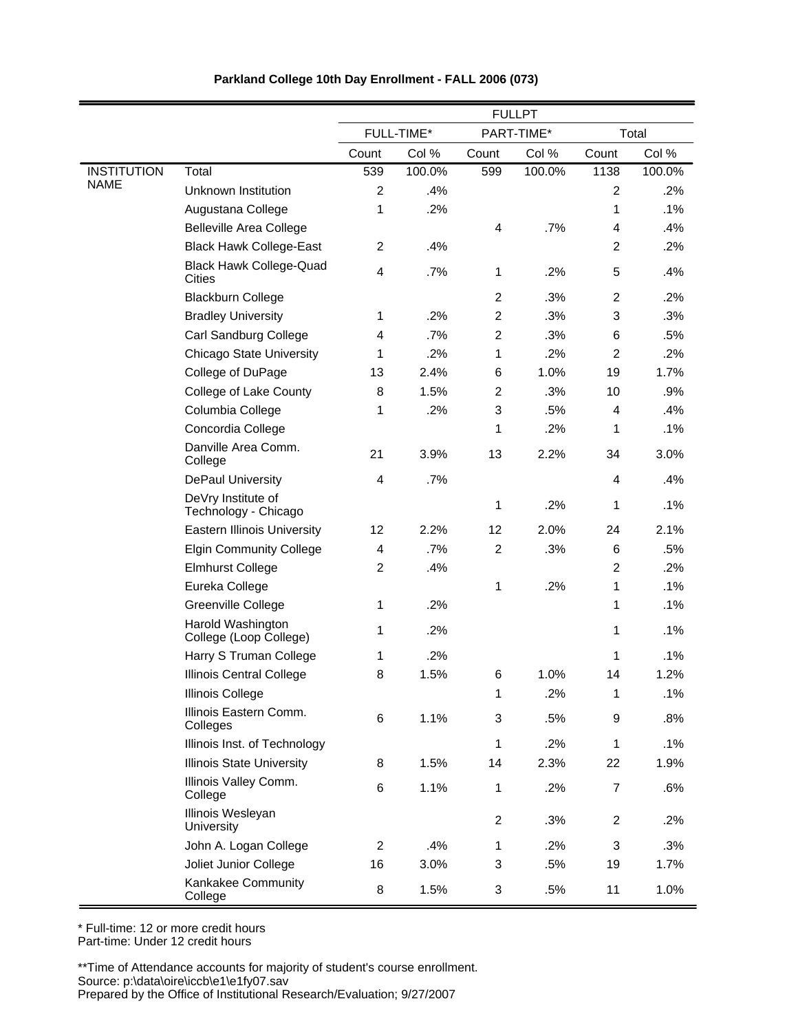|                    |                                                 | <b>FULLPT</b>           |            |                |            |                           |        |
|--------------------|-------------------------------------------------|-------------------------|------------|----------------|------------|---------------------------|--------|
|                    |                                                 |                         | FULL-TIME* |                | PART-TIME* | Total                     |        |
|                    |                                                 | Count                   | Col %      | Count          | Col %      | Count                     | Col %  |
| <b>INSTITUTION</b> | Total                                           | 539                     | 100.0%     | 599            | 100.0%     | 1138                      | 100.0% |
| <b>NAME</b>        | Unknown Institution                             | $\overline{c}$          | .4%        |                |            | $\overline{2}$            | .2%    |
|                    | Augustana College                               | 1                       | .2%        |                |            | 1                         | .1%    |
|                    | <b>Belleville Area College</b>                  |                         |            | $\overline{4}$ | .7%        | $\overline{4}$            | .4%    |
|                    | <b>Black Hawk College-East</b>                  | $\overline{\mathbf{c}}$ | .4%        |                |            | $\overline{2}$            | .2%    |
|                    | <b>Black Hawk College-Quad</b><br><b>Cities</b> | 4                       | .7%        | 1              | .2%        | $\mathbf 5$               | .4%    |
|                    | <b>Blackburn College</b>                        |                         |            | $\overline{2}$ | .3%        | $\overline{2}$            | .2%    |
|                    | <b>Bradley University</b>                       | 1                       | .2%        | $\overline{2}$ | .3%        | 3                         | .3%    |
|                    | Carl Sandburg College                           | 4                       | .7%        | $\overline{c}$ | .3%        | 6                         | .5%    |
|                    | <b>Chicago State University</b>                 | 1                       | .2%        | 1              | .2%        | $\overline{2}$            | .2%    |
|                    | College of DuPage                               | 13                      | 2.4%       | 6              | 1.0%       | 19                        | 1.7%   |
|                    | College of Lake County                          | 8                       | 1.5%       | $\overline{c}$ | .3%        | 10                        | .9%    |
|                    | Columbia College                                | 1                       | .2%        | 3              | .5%        | 4                         | .4%    |
|                    | Concordia College                               |                         |            | 1              | .2%        | 1                         | .1%    |
|                    | Danville Area Comm.<br>College                  | 21                      | 3.9%       | 13             | 2.2%       | 34                        | 3.0%   |
|                    | DePaul University                               | 4                       | .7%        |                |            | 4                         | .4%    |
|                    | DeVry Institute of<br>Technology - Chicago      |                         |            | 1              | .2%        | 1                         | .1%    |
|                    | <b>Eastern Illinois University</b>              | 12                      | 2.2%       | 12             | 2.0%       | 24                        | 2.1%   |
|                    | <b>Elgin Community College</b>                  | 4                       | .7%        | $\overline{2}$ | .3%        | 6                         | .5%    |
|                    | <b>Elmhurst College</b>                         | $\overline{c}$          | .4%        |                |            | $\overline{2}$            | .2%    |
|                    | Eureka College                                  |                         |            | 1              | .2%        | 1                         | .1%    |
|                    | Greenville College                              | 1                       | .2%        |                |            | 1                         | .1%    |
|                    | Harold Washington<br>College (Loop College)     | 1                       | .2%        |                |            | 1                         | .1%    |
|                    | Harry S Truman College                          | 1                       | .2%        |                |            | 1                         | .1%    |
|                    | <b>Illinois Central College</b>                 | 8                       | 1.5%       | 6              | 1.0%       | 14                        | 1.2%   |
|                    | Illinois College                                |                         |            | 1              | .2%        | 1                         | .1%    |
|                    | Illinois Eastern Comm.<br>Colleges              | 6                       | 1.1%       | 3              | .5%        | $\boldsymbol{9}$          | .8%    |
|                    | Illinois Inst. of Technology                    |                         |            | 1              | .2%        | $\mathbf 1$               | .1%    |
|                    | <b>Illinois State University</b>                | 8                       | 1.5%       | 14             | 2.3%       | 22                        | 1.9%   |
|                    | Illinois Valley Comm.<br>College                | 6                       | 1.1%       | 1              | .2%        | $\overline{7}$            | .6%    |
|                    | Illinois Wesleyan<br>University                 |                         |            | $\overline{c}$ | .3%        | $\overline{c}$            | .2%    |
|                    | John A. Logan College                           | $\overline{c}$          | .4%        | 1              | .2%        | $\ensuremath{\mathsf{3}}$ | .3%    |
|                    | Joliet Junior College                           | 16                      | 3.0%       | 3              | .5%        | 19                        | 1.7%   |
|                    | Kankakee Community<br>College                   | 8                       | 1.5%       | 3              | .5%        | 11                        | 1.0%   |

\* Full-time: 12 or more credit hours Part-time: Under 12 credit hours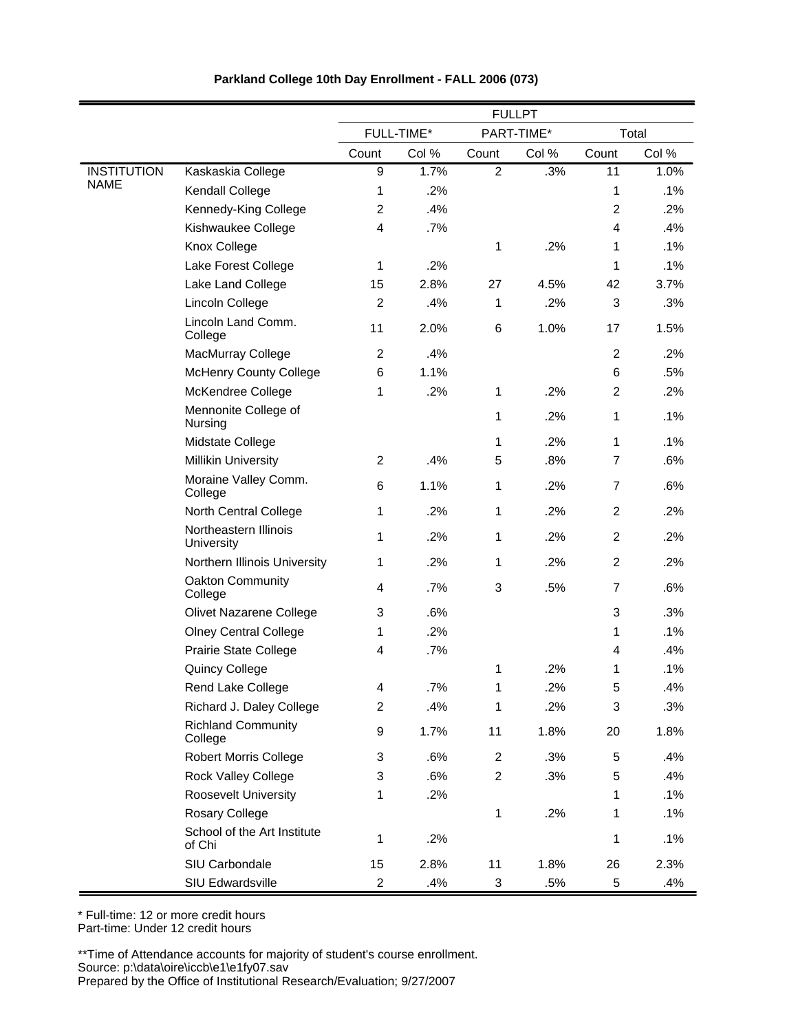|                    |                                       | <b>FULLPT</b>           |            |                |       |                |       |
|--------------------|---------------------------------------|-------------------------|------------|----------------|-------|----------------|-------|
|                    |                                       |                         | FULL-TIME* | PART-TIME*     |       | Total          |       |
|                    |                                       | Count                   | Col %      | Count          | Col % | Count          | Col % |
| <b>INSTITUTION</b> | Kaskaskia College                     | 9                       | 1.7%       | $\overline{2}$ | .3%   | 11             | 1.0%  |
| <b>NAME</b>        | <b>Kendall College</b>                | 1                       | .2%        |                |       | 1              | .1%   |
|                    | Kennedy-King College                  | 2                       | .4%        |                |       | $\overline{c}$ | .2%   |
|                    | Kishwaukee College                    | 4                       | .7%        |                |       | $\overline{4}$ | .4%   |
|                    | Knox College                          |                         |            | 1              | .2%   | 1              | .1%   |
|                    | Lake Forest College                   | 1                       | .2%        |                |       | 1              | .1%   |
|                    | Lake Land College                     | 15                      | 2.8%       | 27             | 4.5%  | 42             | 3.7%  |
|                    | Lincoln College                       | $\overline{c}$          | .4%        | 1              | .2%   | 3              | .3%   |
|                    | Lincoln Land Comm.<br>College         | 11                      | 2.0%       | 6              | 1.0%  | 17             | 1.5%  |
|                    | MacMurray College                     | $\overline{c}$          | .4%        |                |       | $\overline{2}$ | .2%   |
|                    | <b>McHenry County College</b>         | 6                       | 1.1%       |                |       | 6              | .5%   |
|                    | McKendree College                     | 1                       | .2%        | 1              | .2%   | $\overline{2}$ | .2%   |
|                    | Mennonite College of<br>Nursing       |                         |            | 1              | .2%   | 1              | .1%   |
|                    | Midstate College                      |                         |            | 1              | .2%   | 1              | .1%   |
|                    | <b>Millikin University</b>            | $\overline{2}$          | .4%        | 5              | .8%   | $\overline{7}$ | .6%   |
|                    | Moraine Valley Comm.<br>College       | 6                       | 1.1%       | 1              | .2%   | $\overline{7}$ | .6%   |
|                    | North Central College                 | 1                       | .2%        | 1              | .2%   | $\overline{2}$ | .2%   |
|                    | Northeastern Illinois<br>University   | 1                       | .2%        | 1              | .2%   | $\overline{2}$ | .2%   |
|                    | Northern Illinois University          | 1                       | .2%        | 1              | .2%   | $\overline{2}$ | .2%   |
|                    | Oakton Community<br>College           | 4                       | .7%        | 3              | .5%   | $\overline{7}$ | .6%   |
|                    | Olivet Nazarene College               | 3                       | .6%        |                |       | 3              | .3%   |
|                    | <b>Olney Central College</b>          | 1                       | .2%        |                |       | 1              | .1%   |
|                    | <b>Prairie State College</b>          | 4                       | .7%        |                |       | 4              | .4%   |
|                    | <b>Quincy College</b>                 |                         |            | 1              | .2%   | 1              | .1%   |
|                    | Rend Lake College                     | 4                       | .7%        | 1              | .2%   | 5              | .4%   |
|                    | Richard J. Daley College              | $\overline{\mathbf{c}}$ | .4%        | 1              | .2%   | 3              | .3%   |
|                    | <b>Richland Community</b><br>College  | 9                       | 1.7%       | 11             | 1.8%  | 20             | 1.8%  |
|                    | <b>Robert Morris College</b>          | 3                       | .6%        | $\overline{2}$ | .3%   | 5              | .4%   |
|                    | Rock Valley College                   | 3                       | .6%        | $\overline{2}$ | .3%   | 5              | .4%   |
|                    | <b>Roosevelt University</b>           | 1                       | .2%        |                |       | 1              | .1%   |
|                    | Rosary College                        |                         |            | 1              | .2%   | 1              | .1%   |
|                    | School of the Art Institute<br>of Chi | 1                       | .2%        |                |       | 1              | .1%   |
|                    | SIU Carbondale                        | 15                      | 2.8%       | 11             | 1.8%  | 26             | 2.3%  |
|                    | SIU Edwardsville                      | $\overline{\mathbf{c}}$ | .4%        | 3              | .5%   | 5              | .4%   |

\* Full-time: 12 or more credit hours Part-time: Under 12 credit hours

\*\*Time of Attendance accounts for majority of student's course enrollment.

Source: p:\data\oire\iccb\e1\e1fy07.sav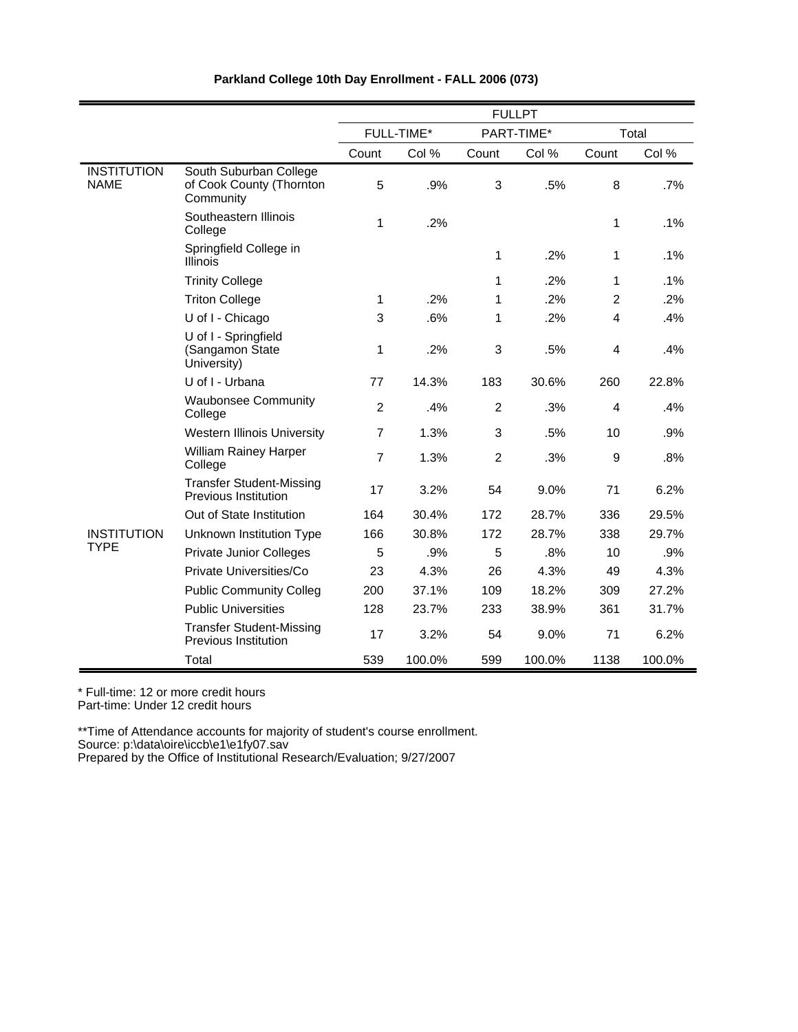|                                   |                                                                 | <b>FULLPT</b>  |            |                |            |                |        |
|-----------------------------------|-----------------------------------------------------------------|----------------|------------|----------------|------------|----------------|--------|
|                                   |                                                                 |                | FULL-TIME* |                | PART-TIME* | Total          |        |
|                                   |                                                                 | Count          | Col %      | Count          | Col %      | Count          | Col %  |
| <b>INSTITUTION</b><br><b>NAME</b> | South Suburban College<br>of Cook County (Thornton<br>Community | 5              | .9%        | 3              | .5%        | 8              | .7%    |
|                                   | Southeastern Illinois<br>College                                | 1              | .2%        |                |            | 1              | .1%    |
|                                   | Springfield College in<br><b>Illinois</b>                       |                |            | 1              | .2%        | 1              | .1%    |
|                                   | <b>Trinity College</b>                                          |                |            | 1              | .2%        | 1              | .1%    |
|                                   | <b>Triton College</b>                                           | 1              | .2%        | 1              | .2%        | $\overline{2}$ | .2%    |
|                                   | U of I - Chicago                                                | 3              | .6%        | 1              | .2%        | 4              | .4%    |
|                                   | U of I - Springfield<br>(Sangamon State<br>University)          | 1              | .2%        | 3              | .5%        | $\overline{4}$ | .4%    |
|                                   | U of I - Urbana                                                 | 77             | 14.3%      | 183            | 30.6%      | 260            | 22.8%  |
|                                   | <b>Waubonsee Community</b><br>College                           | $\overline{2}$ | .4%        | 2              | .3%        | $\overline{4}$ | .4%    |
|                                   | <b>Western Illinois University</b>                              | $\overline{7}$ | 1.3%       | 3              | .5%        | 10             | .9%    |
|                                   | <b>William Rainey Harper</b><br>College                         | $\overline{7}$ | 1.3%       | $\overline{2}$ | .3%        | 9              | .8%    |
|                                   | <b>Transfer Student-Missing</b><br>Previous Institution         | 17             | 3.2%       | 54             | 9.0%       | 71             | 6.2%   |
|                                   | Out of State Institution                                        | 164            | 30.4%      | 172            | 28.7%      | 336            | 29.5%  |
| <b>INSTITUTION</b>                | Unknown Institution Type                                        | 166            | 30.8%      | 172            | 28.7%      | 338            | 29.7%  |
| <b>TYPE</b>                       | <b>Private Junior Colleges</b>                                  | 5              | .9%        | 5              | .8%        | 10             | .9%    |
|                                   | Private Universities/Co                                         | 23             | 4.3%       | 26             | 4.3%       | 49             | 4.3%   |
|                                   | <b>Public Community Colleg</b>                                  | 200            | 37.1%      | 109            | 18.2%      | 309            | 27.2%  |
|                                   | <b>Public Universities</b>                                      | 128            | 23.7%      | 233            | 38.9%      | 361            | 31.7%  |
|                                   | <b>Transfer Student-Missing</b><br><b>Previous Institution</b>  | 17             | 3.2%       | 54             | 9.0%       | 71             | 6.2%   |
|                                   | Total                                                           | 539            | 100.0%     | 599            | 100.0%     | 1138           | 100.0% |

\* Full-time: 12 or more credit hours

Part-time: Under 12 credit hours

\*\*Time of Attendance accounts for majority of student's course enrollment. Source: p:\data\oire\iccb\e1\e1fy07.sav